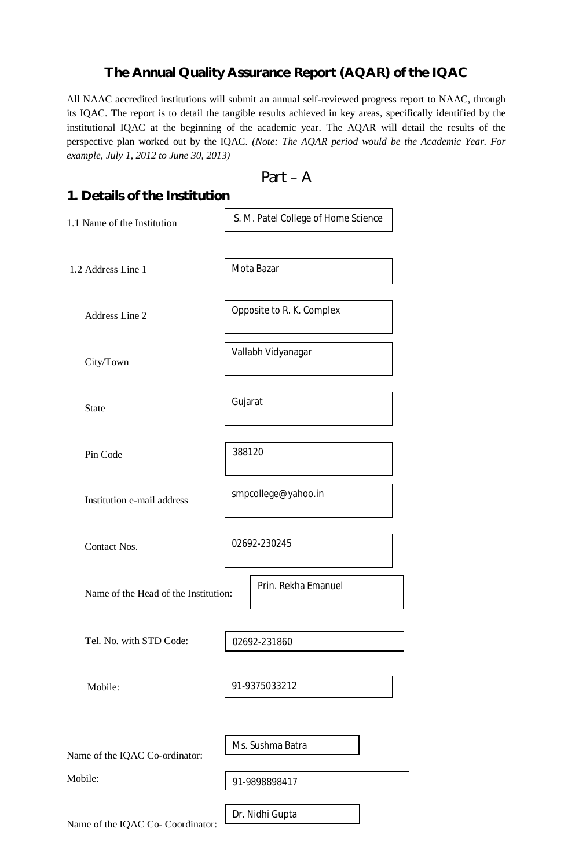## **The Annual Quality Assurance Report (AQAR) of the IQAC**

All NAAC accredited institutions will submit an annual self-reviewed progress report to NAAC, through its IQAC. The report is to detail the tangible results achieved in key areas, specifically identified by the institutional IQAC at the beginning of the academic year. The AQAR will detail the results of the perspective plan worked out by the IQAC. *(Note: The AQAR period would be the Academic Year. For example, July 1, 2012 to June 30, 2013)*

$$
Part - A
$$

| 1. Details of the Institution        |                                     |  |  |  |  |  |
|--------------------------------------|-------------------------------------|--|--|--|--|--|
| 1.1 Name of the Institution          | S. M. Patel College of Home Science |  |  |  |  |  |
| 1.2 Address Line 1                   | Mota Bazar                          |  |  |  |  |  |
| Address Line 2                       | Opposite to R. K. Complex           |  |  |  |  |  |
| City/Town                            | Vallabh Vidyanagar                  |  |  |  |  |  |
| <b>State</b>                         | Gujarat                             |  |  |  |  |  |
| Pin Code                             | 388120                              |  |  |  |  |  |
| Institution e-mail address           | smpcollege@yahoo.in                 |  |  |  |  |  |
| Contact Nos.                         | 02692-230245                        |  |  |  |  |  |
| Name of the Head of the Institution: | Prin. Rekha Emanuel                 |  |  |  |  |  |
| Tel. No. with STD Code:              | 02692-231860                        |  |  |  |  |  |
| Mobile:                              | 91-9375033212                       |  |  |  |  |  |
| Name of the IQAC Co-ordinator:       | Ms. Sushma Batra                    |  |  |  |  |  |
| Mobile:                              | 91-9898898417                       |  |  |  |  |  |
| Name of the IQAC Co- Coordinator:    | Dr. Nidhi Gupta                     |  |  |  |  |  |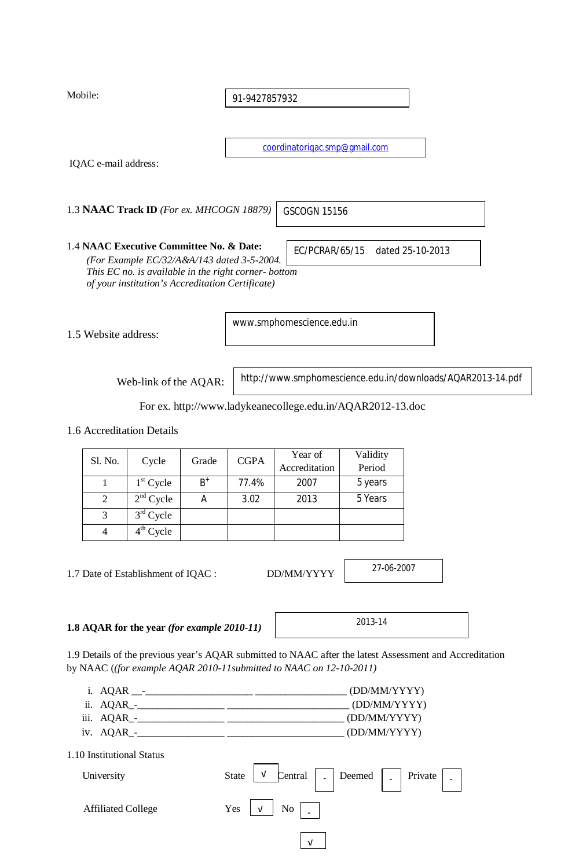Mobile:

91-9427857932

coordinatoriqac.smp@gmail.com

GSCOGN 15156

IQAC e-mail address:

1.3 **NAAC Track ID** *(For ex. MHCOGN 18879)*

1.4 **NAAC Executive Committee No. & Date:**

EC/PCRAR/65/15 dated 25-10-2013

*(For Example EC/32/A&A/143 dated 3-5-2004. This EC no. is available in the right corner- bottom of your institution's Accreditation Certificate)*

1.5 Website address:

www.smphomescience.edu.in

Web-link of the AQAR:

http://www.smphomescience.edu.in/downloads/AQAR2013-14.pdf

For ex. http://www.ladykeanecollege.edu.in/AQAR2012-13.doc

1.6 Accreditation Details

| Sl. No.<br>Cycle |             |       |       | Year of                      | Validity<br>Period |
|------------------|-------------|-------|-------|------------------------------|--------------------|
|                  |             | Grade |       | <b>CGPA</b><br>Accreditation |                    |
|                  | $1st$ Cycle | $B^+$ | 77.4% | 2007                         | 5 years            |
| 2                | $2nd$ Cycle | A     | 3.02  | 2013                         | 5 Years            |
| 3                | $3rd$ Cycle |       |       |                              |                    |
|                  | $4th$ Cycle |       |       |                              |                    |

1.7 Date of Establishment of IQAC : DD/MM/YYYY

27-06-2007

**1.8 AQAR for the year** *(for example 2010-11)*

1.9 Details of the previous year's AQAR submitted to NAAC after the latest Assessment and Accreditation by NAAC (*(for example AQAR 2010-11submitted to NAAC on 12-10-2011)*

- i. AQAR \_\_-\_\_\_\_\_\_\_\_\_\_\_\_\_\_\_\_\_\_\_\_\_ \_\_\_\_\_\_\_\_\_\_\_\_\_\_\_\_\_\_ (DD/MM/YYYY) ii. AQAR\_-\_\_\_\_\_\_\_\_\_\_\_\_\_\_\_\_\_ \_\_\_\_\_\_\_\_\_\_\_\_\_\_\_\_\_\_\_\_\_\_\_\_ (DD/MM/YYYY) iii. AQAR\_-\_\_\_\_\_\_\_\_\_\_\_\_\_\_\_\_\_ \_\_\_\_\_\_\_\_\_\_\_\_\_\_\_\_\_\_\_\_\_\_\_ (DD/MM/YYYY)
- iv. AQAR\_-\_\_\_\_\_\_\_\_\_\_\_\_\_\_\_\_\_ \_\_\_\_\_\_\_\_\_\_\_\_\_\_\_\_\_\_\_\_\_\_\_ (DD/MM/YYYY)

1.10 Institutional Status

| University                | Central   Deemed   Private  <br>State<br>$\ensuremath{\mathsf{V}}$<br>۰ |
|---------------------------|-------------------------------------------------------------------------|
| <b>Affiliated College</b> | Yes<br>$\mathbf{No}$<br>$\sqrt{ }$                                      |
|                           | ν                                                                       |

2013-14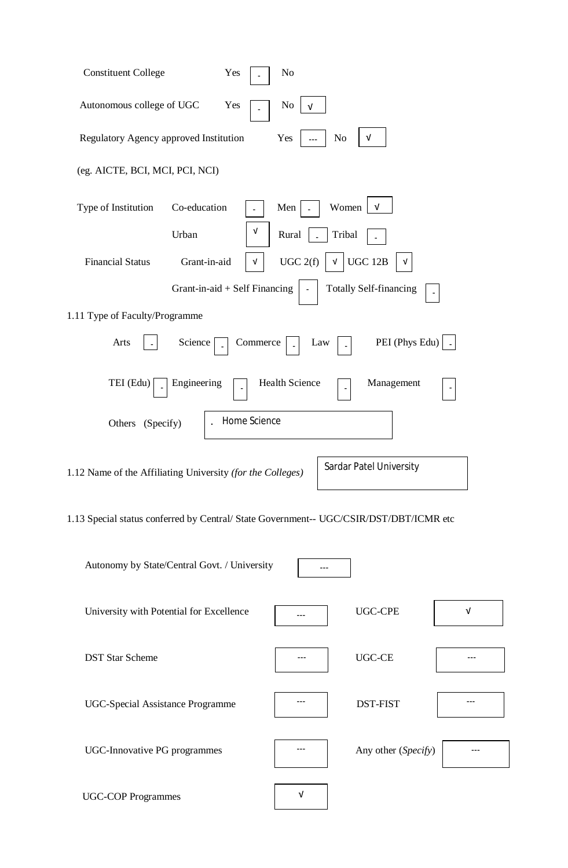| <b>Constituent College</b>                                                             | Yes                             | No                    |                                |            |
|----------------------------------------------------------------------------------------|---------------------------------|-----------------------|--------------------------------|------------|
| Autonomous college of UGC                                                              | Yes                             | No<br>v               |                                |            |
| Regulatory Agency approved Institution                                                 |                                 | Yes<br>No             | $\sqrt{ }$                     |            |
| (eg. AICTE, BCI, MCI, PCI, NCI)                                                        |                                 |                       |                                |            |
| Type of Institution<br>Co-education                                                    |                                 | Women<br>Men          | v                              |            |
| Urban                                                                                  | V                               | Tribal<br>Rural       |                                |            |
| <b>Financial Status</b><br>Grant-in-aid                                                | v                               | UGC 2(f)<br>V         | <b>UGC 12B</b>                 |            |
|                                                                                        | Grant-in-aid $+$ Self Financing |                       | <b>Totally Self-financing</b>  |            |
| 1.11 Type of Faculty/Programme                                                         |                                 |                       |                                |            |
| Arts<br>Science                                                                        | Commerce                        | Law                   | PEI (Phys Edu)                 |            |
| TEI (Edu)<br>Engineering                                                               |                                 | <b>Health Science</b> | Management                     |            |
| (Specify)<br>Others                                                                    | Home Science                    |                       |                                |            |
| 1.12 Name of the Affiliating University (for the Colleges)                             |                                 |                       | <b>Sardar Patel University</b> |            |
| 1.13 Special status conferred by Central/ State Government-- UGC/CSIR/DST/DBT/ICMR etc |                                 |                       |                                |            |
| Autonomy by State/Central Govt. / University                                           |                                 | ---                   |                                |            |
| University with Potential for Excellence                                               |                                 |                       | <b>UGC-CPE</b>                 | $\sqrt{ }$ |
| <b>DST Star Scheme</b>                                                                 |                                 |                       | UGC-CE                         |            |
| <b>UGC-Special Assistance Programme</b>                                                |                                 | ---                   | <b>DST-FIST</b>                |            |
| <b>UGC-Innovative PG programmes</b>                                                    |                                 |                       | Any other (Specify)            |            |
| <b>UGC-COP Programmes</b>                                                              |                                 | V                     |                                |            |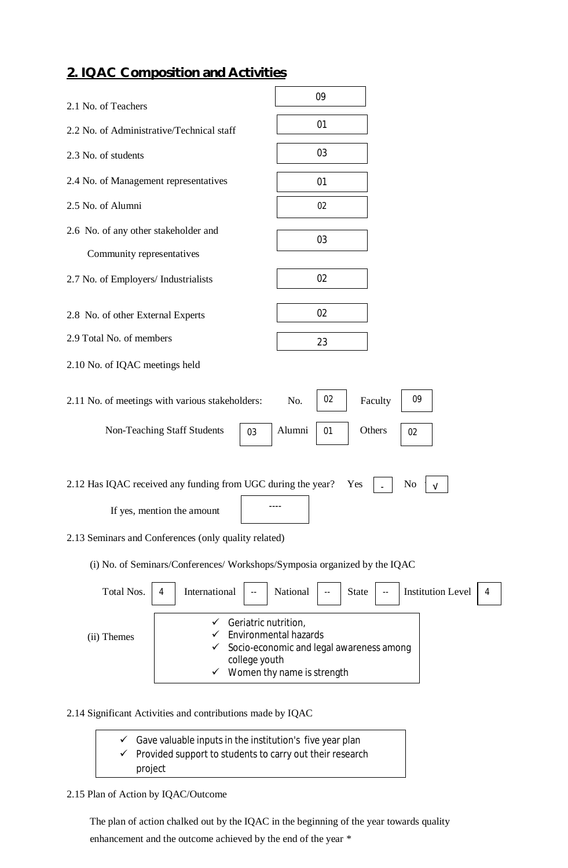## **2. IQAC Composition and Activities**

| 2.1 No. of Teachers                                                                                                                                                 | 09                                                        |  |  |  |  |  |
|---------------------------------------------------------------------------------------------------------------------------------------------------------------------|-----------------------------------------------------------|--|--|--|--|--|
| 2.2 No. of Administrative/Technical staff                                                                                                                           | 01                                                        |  |  |  |  |  |
| 2.3 No. of students                                                                                                                                                 | 03                                                        |  |  |  |  |  |
| 2.4 No. of Management representatives                                                                                                                               | 01                                                        |  |  |  |  |  |
| 2.5 No. of Alumni                                                                                                                                                   | 02                                                        |  |  |  |  |  |
| 2.6 No. of any other stakeholder and                                                                                                                                | 03                                                        |  |  |  |  |  |
| Community representatives                                                                                                                                           |                                                           |  |  |  |  |  |
| 2.7 No. of Employers/ Industrialists                                                                                                                                | 02                                                        |  |  |  |  |  |
| 2.8 No. of other External Experts                                                                                                                                   | 02                                                        |  |  |  |  |  |
| 2.9 Total No. of members                                                                                                                                            | 23                                                        |  |  |  |  |  |
| 2.10 No. of IQAC meetings held                                                                                                                                      |                                                           |  |  |  |  |  |
| 2.11 No. of meetings with various stakeholders:                                                                                                                     | 02<br>09<br>Faculty<br>No.                                |  |  |  |  |  |
| Non-Teaching Staff Students<br>03                                                                                                                                   | Alumni<br>Others<br>01<br>02                              |  |  |  |  |  |
| 2.12 Has IQAC received any funding from UGC during the year?<br>If yes, mention the amount                                                                          | No<br>Yes<br>v                                            |  |  |  |  |  |
| 2.13 Seminars and Conferences (only quality related)                                                                                                                |                                                           |  |  |  |  |  |
| (i) No. of Seminars/Conferences/ Workshops/Symposia organized by the IQAC                                                                                           |                                                           |  |  |  |  |  |
| Total Nos.<br>International<br>4                                                                                                                                    | National<br><b>Institution Level</b><br><b>State</b><br>4 |  |  |  |  |  |
| Geriatric nutrition,<br>✓<br><b>Environmental hazards</b><br>(ii) Themes<br>Socio-economic and legal awareness among<br>college youth<br>Women thy name is strength |                                                           |  |  |  |  |  |
|                                                                                                                                                                     |                                                           |  |  |  |  |  |

### 2.14 Significant Activities and contributions made by IQAC

| $\checkmark$ Gave valuable inputs in the institution's five year plan |
|-----------------------------------------------------------------------|
| $\checkmark$ Provided support to students to carry out their research |
| project                                                               |
|                                                                       |

### 2.15 Plan of Action by IQAC/Outcome

 The plan of action chalked out by the IQAC in the beginning of the year towards quality enhancement and the outcome achieved by the end of the year \*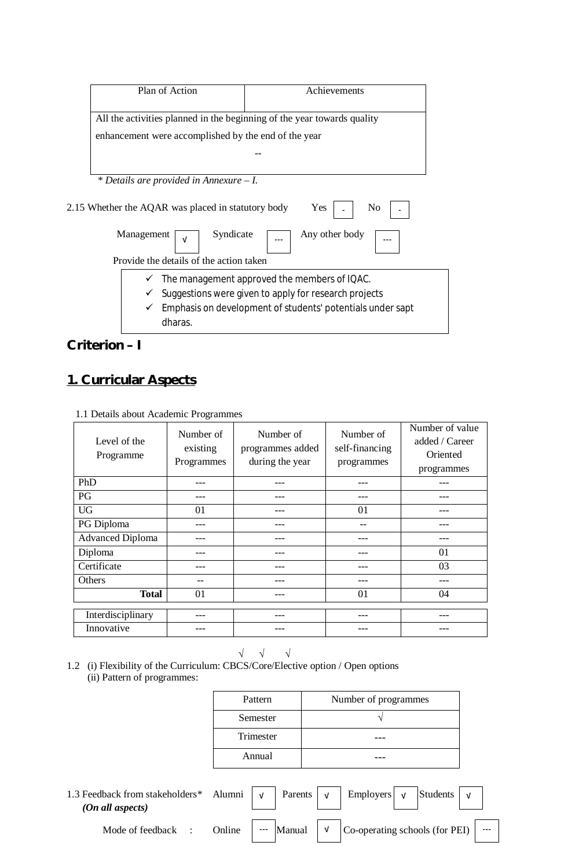| Plan of Action                                       | Achievements                                                            |
|------------------------------------------------------|-------------------------------------------------------------------------|
|                                                      | All the activities planned in the beginning of the year towards quality |
| enhancement were accomplished by the end of the year |                                                                         |
|                                                      |                                                                         |
| * Details are provided in Annexure $-I$ .            |                                                                         |
| 2.15 Whether the AQAR was placed in statutory body   | Yes<br>No                                                               |
| Syndicate<br>Management<br>$\sqrt{ }$                | Any other body                                                          |
| Provide the details of the action taken              |                                                                         |
|                                                      | The management approved the members of IQAC.                            |
|                                                      | Suggestions were given to apply for research projects                   |
|                                                      | Emphasis on development of students' potentials under sapt              |

# **Criterion – I**

# **1. Curricular Aspects**

| Level of the<br>Programme | Number of<br>existing<br>Programmes | Number of<br>programmes added<br>during the year | Number of<br>self-financing<br>programmes | Number of value<br>added / Career<br>Oriented<br>programmes |
|---------------------------|-------------------------------------|--------------------------------------------------|-------------------------------------------|-------------------------------------------------------------|
| PhD                       |                                     |                                                  |                                           |                                                             |
| <b>PG</b>                 |                                     |                                                  |                                           |                                                             |
| <b>UG</b>                 | 01                                  |                                                  | 01                                        |                                                             |
| PG Diploma                |                                     |                                                  | --                                        |                                                             |
| <b>Advanced Diploma</b>   |                                     |                                                  | ---                                       |                                                             |
| Diploma                   |                                     |                                                  |                                           | 01                                                          |
| Certificate               |                                     |                                                  | --                                        | 03                                                          |
| Others                    | --                                  |                                                  | ---                                       |                                                             |
| <b>Total</b>              | 01                                  |                                                  | 01                                        | 04                                                          |
|                           |                                     |                                                  |                                           |                                                             |
| Interdisciplinary         |                                     |                                                  |                                           |                                                             |
| Innovative                |                                     |                                                  |                                           |                                                             |

1.1 Details about Academic Programmes

$$
\hspace{.5cm} \hspace{.5cm} \hspace{.5cm} \hspace{.5cm} \hspace{.5cm} \hspace{.5cm} \hspace{.5cm} \hspace{.5cm} \hspace{.5cm} \hspace{.5cm} \hspace{.5cm} \hspace{.5cm} \hspace{.5cm} \hspace{.5cm} \hspace{.5cm} \hspace{.5cm} \hspace{.5cm} \hspace{.5cm} \hspace{.5cm} \hspace{.5cm} \hspace{.5cm} \hspace{.5cm} \hspace{.5cm} \hspace{.5cm} \hspace{.5cm} \hspace{.5cm} \hspace{.5cm} \hspace{.5cm} \hspace{.5cm} \times \hspace{.5cm} \hspace{.5cm} \times \hspace{.5cm} \hspace{.5cm} \times \hspace{.5cm} \times \hspace{.5cm} \times \hspace{.5cm} \times \hspace{.5cm} \times \hspace{.5cm} \times \hspace{.5cm} \times \hspace{.5cm} \times \hspace{.5cm} \times \hspace{.5cm} \times \hspace{.5cm} \times \hspace{.5cm} \times \hspace{.5cm} \times \hspace{.5cm} \times \hspace{.5cm} \times \hspace{.5cm} \times \hspace{.5cm} \times \hspace{.5cm} \times \hspace{.5cm} \times \hspace{.5cm} \times \hspace{.5cm} \times \hspace{.5cm} \times \hspace{.5cm} \times \hspace{.5cm} \times \hspace{.5cm} \times \hspace{.5cm} \times \hspace{.5cm} \times \hspace{.5cm} \times \hspace{.5cm} \times \hspace{.5cm} \times \hspace{.5cm} \times \hspace{.5cm} \times \hspace{.5cm} \times \hspace{.5cm} \times \hspace{.5cm} \times \hspace{.5cm} \times \hspace{.5cm} \times \hspace{.5cm} \times \hspace{.5cm} \times \hspace{.5cm} \times \hspace{.5cm} \times \hspace{.5cm} \times \hspace{.5cm} \times \hspace{.5cm} \times \hspace{.5cm} \times \hspace{.5cm} \times \hspace{.5cm} \times \hspace{.5cm} \times \hspace{.5cm} \times \hspace{.5cm} \times
$$

1.2 (i) Flexibility of the Curriculum: CBCS/Core/Elective option / Open options (ii) Pattern of programmes:

| Pattern   | Number of programmes |
|-----------|----------------------|
| Semester  |                      |
| Trimester |                      |
| Annual    |                      |

| 1.3 Feedback from stakeholders* Alumni $\vert \sqrt{ } \vert$ Parents $\vert \sqrt{ } \vert$ Employers $\vert \sqrt{ } \vert$<br>(On all aspects) |                      |        |            |                                | Students |  |
|---------------------------------------------------------------------------------------------------------------------------------------------------|----------------------|--------|------------|--------------------------------|----------|--|
| Mode of feedback :                                                                                                                                | Online $\frac{1}{2}$ | Manual | $\sqrt{ }$ | Co-operating schools (for PEI) |          |  |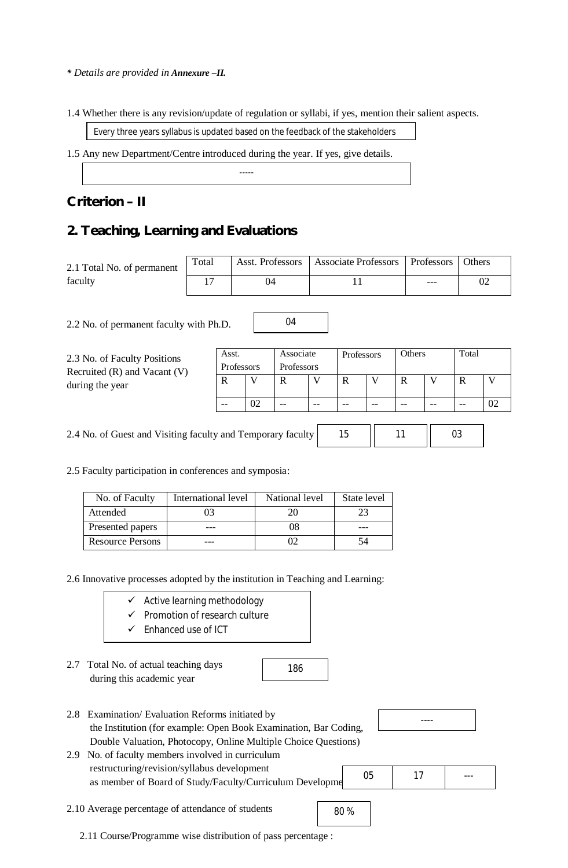#### *\* Details are provided in Annexure –II.*

1.4 Whether there is any revision/update of regulation or syllabi, if yes, mention their salient aspects.

Every three years syllabus is updated based on the feedback of the stakeholders

-----

1.5 Any new Department/Centre introduced during the year. If yes, give details.

## **Criterion – II**

## **2. Teaching, Learning and Evaluations**

|                                                                               | Total<br>2.1 Total No. of permanent<br>faculty<br>17                                                                                                                              |                                                      | Asst. Professors         |    |                         | <b>Associate Professors</b> |             |                   |             | Professors<br>--- |              | Others<br>02 |  |
|-------------------------------------------------------------------------------|-----------------------------------------------------------------------------------------------------------------------------------------------------------------------------------|------------------------------------------------------|--------------------------|----|-------------------------|-----------------------------|-------------|-------------------|-------------|-------------------|--------------|--------------|--|
|                                                                               |                                                                                                                                                                                   |                                                      | 04                       |    |                         | 11                          |             |                   |             |                   |              |              |  |
|                                                                               | 2.2 No. of permanent faculty with Ph.D.                                                                                                                                           |                                                      |                          |    | 04                      |                             |             |                   |             |                   |              |              |  |
|                                                                               | 2.3 No. of Faculty Positions<br>Recruited (R) and Vacant (V)                                                                                                                      |                                                      | Asst.<br>Professors      |    | Associate<br>Professors |                             | Professors  |                   | Others      |                   | Total        |              |  |
|                                                                               | during the year                                                                                                                                                                   |                                                      | $\mathbf R$              | V  | $\mathbf R$             | V                           | $\mathbf R$ | V                 | $\mathbf R$ | V                 | $\mathbb{R}$ | V            |  |
|                                                                               |                                                                                                                                                                                   |                                                      | $\overline{\phantom{a}}$ | 02 | $-$                     | $-$                         | $-\!$ $\!-$ | $\qquad \qquad -$ | --          | $- -$             | $-\!$ –      | 02           |  |
| 2.4 No. of Guest and Visiting faculty and Temporary faculty<br>15<br>11<br>03 |                                                                                                                                                                                   |                                                      |                          |    |                         |                             |             |                   |             |                   |              |              |  |
|                                                                               | 2.5 Faculty participation in conferences and symposia:                                                                                                                            |                                                      |                          |    |                         |                             |             |                   |             |                   |              |              |  |
|                                                                               | No. of Faculty                                                                                                                                                                    | International level                                  |                          |    | National level          |                             |             | State level       |             |                   |              |              |  |
|                                                                               | Attended                                                                                                                                                                          | 03                                                   |                          |    | 20                      |                             | 23          |                   |             |                   |              |              |  |
|                                                                               | Presented papers                                                                                                                                                                  | ---                                                  |                          |    | 08                      |                             |             |                   |             |                   |              |              |  |
|                                                                               | <b>Resource Persons</b>                                                                                                                                                           |                                                      |                          |    | 02                      |                             | 54          |                   |             |                   |              |              |  |
|                                                                               | 2.6 Innovative processes adopted by the institution in Teaching and Learning:<br>$\checkmark$ Active learning methodology<br>$\checkmark$<br>$\checkmark$                         | Promotion of research culture<br>Enhanced use of ICT |                          |    |                         |                             |             |                   |             |                   |              |              |  |
|                                                                               | 2.7 Total No. of actual teaching days<br>during this academic year                                                                                                                |                                                      |                          |    | 186                     |                             |             |                   |             |                   |              |              |  |
| 2.8                                                                           | Examination/Evaluation Reforms initiated by<br>the Institution (for example: Open Book Examination, Bar Coding,<br>Double Valuation, Photocopy, Online Multiple Choice Questions) |                                                      |                          |    |                         |                             |             |                   |             |                   |              |              |  |
| 2.9                                                                           | No. of faculty members involved in curriculum<br>restructuring/revision/syllabus development<br>as member of Board of Study/Faculty/Curriculum Developme                          |                                                      |                          |    |                         |                             |             | 05                | 17          |                   |              |              |  |
|                                                                               | 2.10 Average percentage of attendance of students                                                                                                                                 |                                                      |                          |    |                         |                             | 80%         |                   |             |                   |              |              |  |

2.11 Course/Programme wise distribution of pass percentage :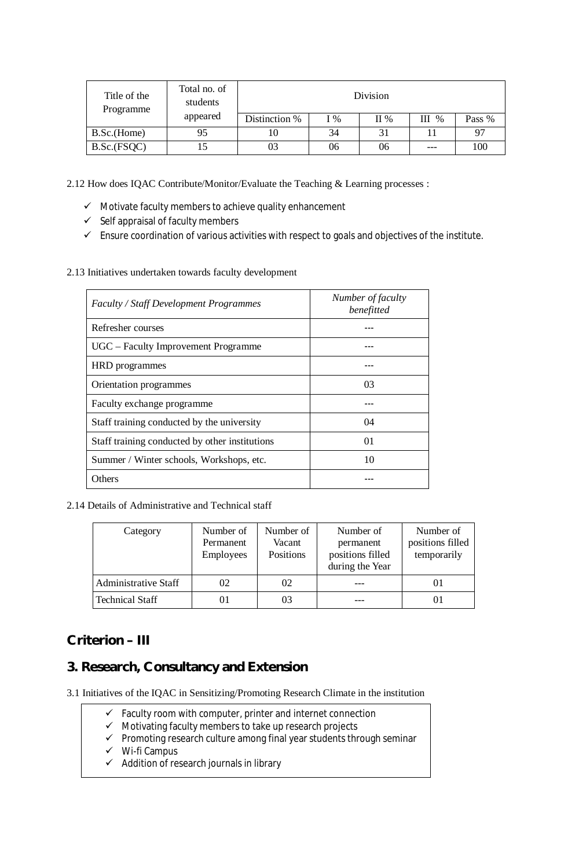| Title of the<br>Programme | Total no. of<br>students | Division      |               |         |         |        |  |  |
|---------------------------|--------------------------|---------------|---------------|---------|---------|--------|--|--|
|                           | appeared                 | Distinction % | $\frac{6}{6}$ | $\Pi$ % | $III$ % | Pass % |  |  |
| B.Sc.(Home)               | 95                       |               | 34            | 31      |         | 97     |  |  |
| B.Sc.(FSQC)               |                          |               | 06            | 06      | ---     | 100    |  |  |

2.12 How does IQAC Contribute/Monitor/Evaluate the Teaching & Learning processes :

- $\checkmark$  Motivate faculty members to achieve quality enhancement
- $\checkmark$  Self appraisal of faculty members
- $\checkmark$  Ensure coordination of various activities with respect to goals and objectives of the institute.
- 2.13 Initiatives undertaken towards faculty development

| <b>Faculty / Staff Development Programmes</b>  | Number of faculty<br>benefitted |
|------------------------------------------------|---------------------------------|
| Refresher courses                              |                                 |
| UGC – Faculty Improvement Programme            |                                 |
| HRD programmes                                 |                                 |
| Orientation programmes                         | 03                              |
| Faculty exchange programme                     |                                 |
| Staff training conducted by the university     | 04                              |
| Staff training conducted by other institutions | 01                              |
| Summer / Winter schools, Workshops, etc.       | 10                              |
| Others                                         |                                 |

2.14 Details of Administrative and Technical staff

| Category                    | Number of<br>Permanent<br>Employees | Number of<br>Vacant<br>Positions | Number of<br>permanent<br>positions filled<br>during the Year | Number of<br>positions filled<br>temporarily |
|-----------------------------|-------------------------------------|----------------------------------|---------------------------------------------------------------|----------------------------------------------|
| <b>Administrative Staff</b> | 02                                  | 02                               |                                                               |                                              |
| <b>Technical Staff</b>      | 01                                  | 03                               |                                                               |                                              |

## **Criterion – III**

## **3. Research, Consultancy and Extension**

- 3.1 Initiatives of the IQAC in Sensitizing/Promoting Research Climate in the institution
	- $\checkmark$  Faculty room with computer, printer and internet connection
	- $\checkmark$  Motivating faculty members to take up research projects
	- $\checkmark$  Promoting research culture among final year students through seminar
	- $\checkmark$  Wi-fi Campus
	- $\checkmark$  Addition of research journals in library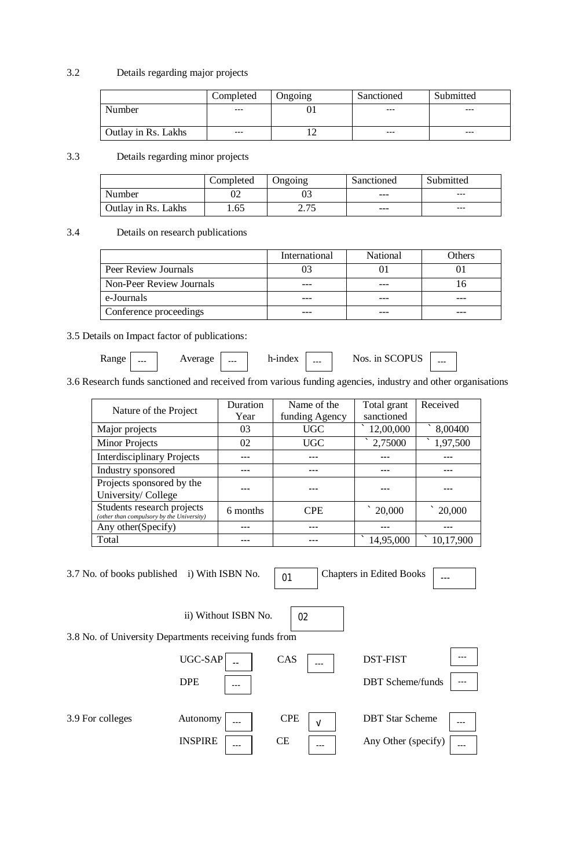#### 3.2 Details regarding major projects

|                            | Completed | Ongoing | Sanctioned | Submitted |
|----------------------------|-----------|---------|------------|-----------|
| Number                     | $---$     |         | ---        | $--$      |
|                            |           |         |            |           |
| <b>Outlay in Rs. Lakhs</b> | $---$     |         | ---        | $--$      |

### 3.3 Details regarding minor projects

|                     | Completed | <b>J</b> ngoing | Sanctioned | Submitted |
|---------------------|-----------|-----------------|------------|-----------|
| Number              |           |                 | ---        | ---       |
| Outlay in Rs. Lakhs | .65       | 2.75<br>ل ا مص  | ---        | ---       |

### 3.4 Details on research publications

|                          | International | <b>National</b> | Others |
|--------------------------|---------------|-----------------|--------|
| Peer Review Journals     |               |                 |        |
| Non-Peer Review Journals |               |                 |        |
| e-Journals               |               |                 |        |
| Conference proceedings   |               |                 |        |

#### 3.5 Details on Impact factor of publications:

| <b>Range</b> | $--$ | Average | --- | h-index | --- | Nos. in SCOPUS | --- |
|--------------|------|---------|-----|---------|-----|----------------|-----|
|--------------|------|---------|-----|---------|-----|----------------|-----|

3.6 Research funds sanctioned and received from various funding agencies, industry and other organisations

| Nature of the Project                                                   | Duration | Name of the    | Total grant | Received  |
|-------------------------------------------------------------------------|----------|----------------|-------------|-----------|
|                                                                         | Year     | funding Agency | sanctioned  |           |
| Major projects                                                          | 03       | <b>UGC</b>     | 12,00,000   | 8,00400   |
| <b>Minor Projects</b>                                                   | 02       | <b>UGC</b>     | 2,75000     | 1,97,500  |
| <b>Interdisciplinary Projects</b>                                       |          |                |             |           |
| Industry sponsored                                                      |          |                |             |           |
| Projects sponsored by the                                               |          |                |             |           |
| University/College                                                      |          |                |             |           |
| Students research projects<br>(other than compulsory by the University) | 6 months | <b>CPE</b>     | 20,000      | 20,000    |
| Any other (Specify)                                                     |          |                |             |           |
| Total                                                                   |          |                | 14,95,000   | 10,17,900 |

3.7 No. of books published i) With ISBN No.  $\sqrt{01}$ 

Chapters in Edited Books  $\boxed{\phantom{1}}$ 

3.8 No. of University Departments receiving funds from

ii) Without ISBN No.



02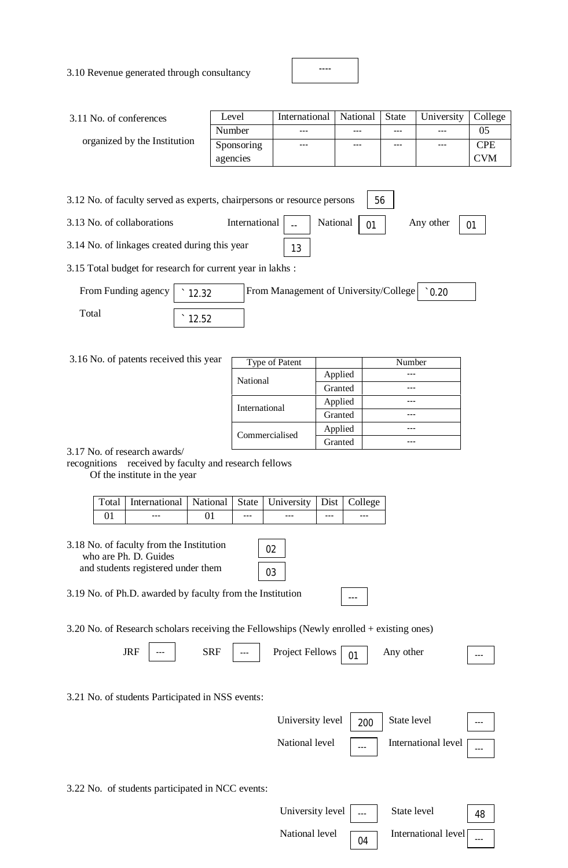3.10 Revenue generated through consultancy

| 3.11 No. of conferences                                                       | Level      | International | National | <b>State</b> | University | College    |
|-------------------------------------------------------------------------------|------------|---------------|----------|--------------|------------|------------|
|                                                                               | Number     | ---           |          | ---          |            | 05         |
| organized by the Institution                                                  | Sponsoring | ---           |          | ---          |            | <b>CPE</b> |
|                                                                               | agencies   |               |          |              |            | <b>CVM</b> |
|                                                                               |            |               |          |              |            |            |
| 3.12 No. of faculty served as experts, chairpersons or resource persons<br>56 |            |               |          |              |            |            |

----

3.13 No. of collaborations International  $\vert$   $\vert$  National  $\vert$  01

3.14 No. of linkages created during this year 13

3.15 Total budget for research for current year in lakhs :

| From Funding agency $\vert \cdot 12.32 \vert$ |       | From Management of University/College   0.20 |  |
|-----------------------------------------------|-------|----------------------------------------------|--|
| Total                                         | 12.52 |                                              |  |

#### $3.16$  No. of patents received this ye

| ear | Type of Patent |         | Number |
|-----|----------------|---------|--------|
|     | National       | Applied |        |
|     |                | Granted |        |
|     | International  | Applied |        |
|     |                | Granted |        |
|     | Commercialised | Applied |        |
|     |                | Granted |        |

---

Any other  $\begin{array}{|c|c|}$  01

3.17 No. of research awards/

recognitions received by faculty and research fellows

Of the institute in the year

| Total   International   National   State   University   Dist   College |         |     |     |     |
|------------------------------------------------------------------------|---------|-----|-----|-----|
| ---                                                                    | $- - -$ | --- | --- | --- |

3.18 No. of faculty from the Institution who are Ph. D. Guides and students registered under them

| ◞       |  |
|---------|--|
| e.<br>ζ |  |

3.19 No. of Ph.D. awarded by faculty from the Institution

3.20 No. of Research scholars receiving the Fellowships (Newly enrolled + existing ones)

| ΙR<br>0111 | --- | SRF<br>$   -$ | $---$ | $T = 11$<br>Project Fell<br>lows | $\sim$ | other | $--$ |
|------------|-----|---------------|-------|----------------------------------|--------|-------|------|
|------------|-----|---------------|-------|----------------------------------|--------|-------|------|

3.21 No. of students Participated in NSS events:

| University level $\begin{array}{ c c c }$ 200 $\end{array}$ State level |      |                     | $---$ |
|-------------------------------------------------------------------------|------|---------------------|-------|
| National level                                                          | $--$ | International level | ---   |

3.22 No. of students participated in NCC events:

| University level      State level                         |                     | 48  |
|-----------------------------------------------------------|---------------------|-----|
| National level $\begin{array}{ c } \hline 04 \end{array}$ | International level | --- |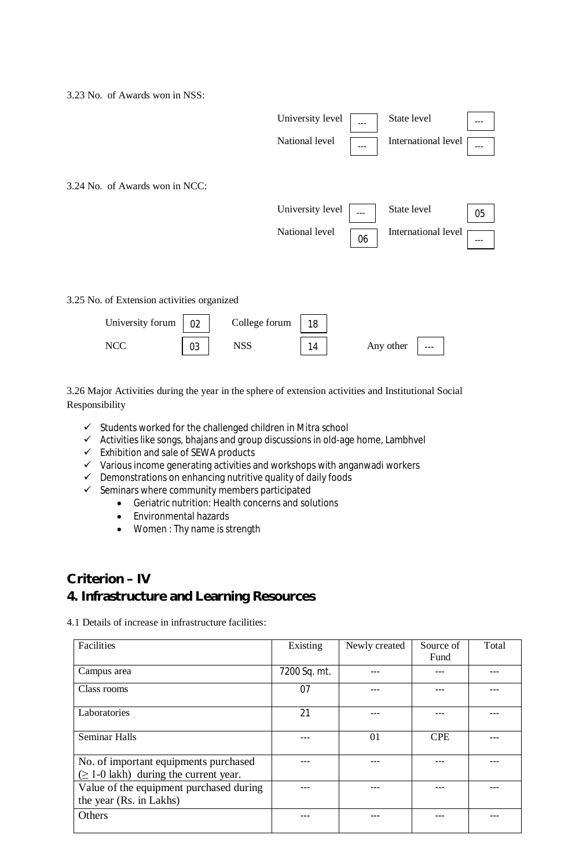3.23 No. of Awards won in NSS:



3.26 Major Activities during the year in the sphere of extension activities and Institutional Social Responsibility

- $\checkmark$  Students worked for the challenged children in Mitra school
- $\checkmark$  Activities like songs, bhajans and group discussions in old-age home, Lambhvel
- $\checkmark$  Exhibition and sale of SEWA products
- $\checkmark$  Various income generating activities and workshops with anganwadi workers
- $\checkmark$  Demonstrations on enhancing nutritive quality of daily foods
- $\checkmark$  Seminars where community members participated
	- Geriatric nutrition: Health concerns and solutions
		- Environmental hazards
		- Women : Thy name is strength

### **Criterion – IV**

## **4. Infrastructure and Learning Resources**

4.1 Details of increase in infrastructure facilities:

| Facilities                                  | Existing     | Newly created | Source of  | Total |
|---------------------------------------------|--------------|---------------|------------|-------|
|                                             |              |               | Fund       |       |
| Campus area                                 | 7200 Sq. mt. |               |            |       |
| Class rooms                                 | 07           |               |            |       |
| Laboratories                                | 21           |               |            |       |
| <b>Seminar Halls</b>                        |              | 01            | <b>CPE</b> |       |
| No. of important equipments purchased       |              |               |            |       |
| $(\geq 1-0)$ lakh) during the current year. |              |               |            |       |
| Value of the equipment purchased during     |              |               |            |       |
| the year (Rs. in Lakhs)                     |              |               |            |       |
| Others                                      | --           | ---           |            |       |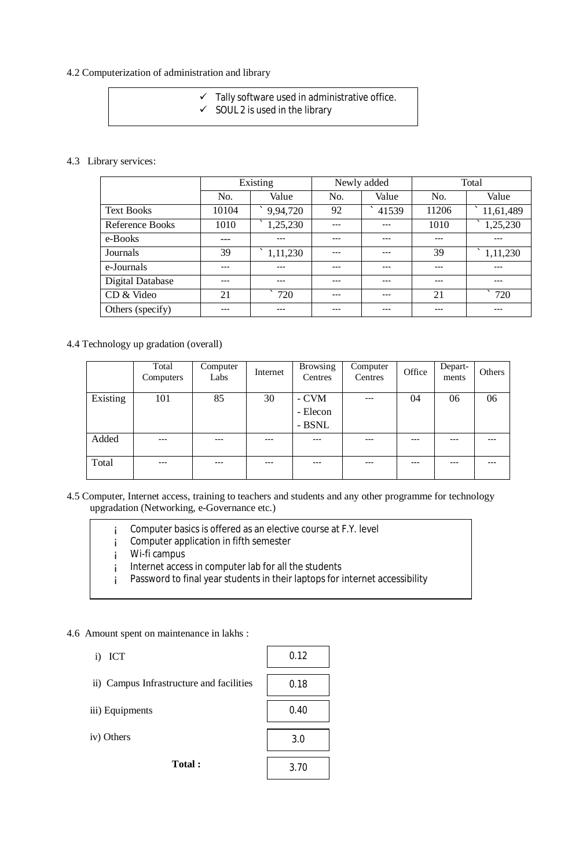### 4.2 Computerization of administration and library

 $\checkmark$  Tally software used in administrative office.  $\checkmark$  SOUL 2 is used in the library

#### 4.3 Library services:

|                         | Existing |                     |         | Newly added | Total |           |  |
|-------------------------|----------|---------------------|---------|-------------|-------|-----------|--|
|                         | No.      | Value               | No.     | Value       | No.   | Value     |  |
| <b>Text Books</b>       | 10104    | $^{\circ}$ 9,94,720 | 92      | 41539       | 11206 | 11,61,489 |  |
| <b>Reference Books</b>  | 1010     | 1,25,230            | $- - -$ | ---         | 1010  | 1,25,230  |  |
| e-Books                 |          | ---                 | ---     | ---         | $--$  | ---       |  |
| Journals                | 39       | 1,11,230            | ---     | ---         | 39    | 1,11,230  |  |
| e-Journals              | $---$    | ---                 | $---$   | ---         | ---   | ---       |  |
| <b>Digital Database</b> | ---      | ---                 | ---     | ---         | ---   | ---       |  |
| CD & Video              | 21       | 720                 | ---     | ---         | 21    | 720       |  |
| Others (specify)        |          | ---                 |         |             | ---   |           |  |

### 4.4 Technology up gradation (overall)

|          | Total<br>Computers | Computer<br>Labs | Internet | <b>Browsing</b><br>Centres  | Computer<br>Centres | Office | Depart-<br>ments | Others |
|----------|--------------------|------------------|----------|-----------------------------|---------------------|--------|------------------|--------|
| Existing | 101                | 85               | 30       | - CVM<br>- Elecon<br>- BSNL | $---$               | 04     | 06               | 06     |
| Added    | $- - -$            | ---              | ---      | $---$                       | ---                 |        | ---              |        |
| Total    | $---$              | ---              | $---$    | $---$                       | ---                 | ---    | $---$            | ---    |

#### 4.5 Computer, Internet access, training to teachers and students and any other programme for technology upgradation (Networking, e-Governance etc.)

| Computer basics is offered as an elective course at F.Y. level<br>Computer application in fifth semester |
|----------------------------------------------------------------------------------------------------------|
| Wi-fi campus                                                                                             |
| Internet access in computer lab for all the students                                                     |
| Password to final year students in their laptops for internet accessibility                              |
|                                                                                                          |

### 4.6 Amount spent on maintenance in lakhs :

| ٠ | л.<br>۹<br>۰.<br>., |
|---|---------------------|
|---|---------------------|

| ii) Campus Infrastructure and facilities |  |
|------------------------------------------|--|
|------------------------------------------|--|

iii) Equipments

iv) Others

**Total :** 

0.12 0.18 0.40 3.0 3.70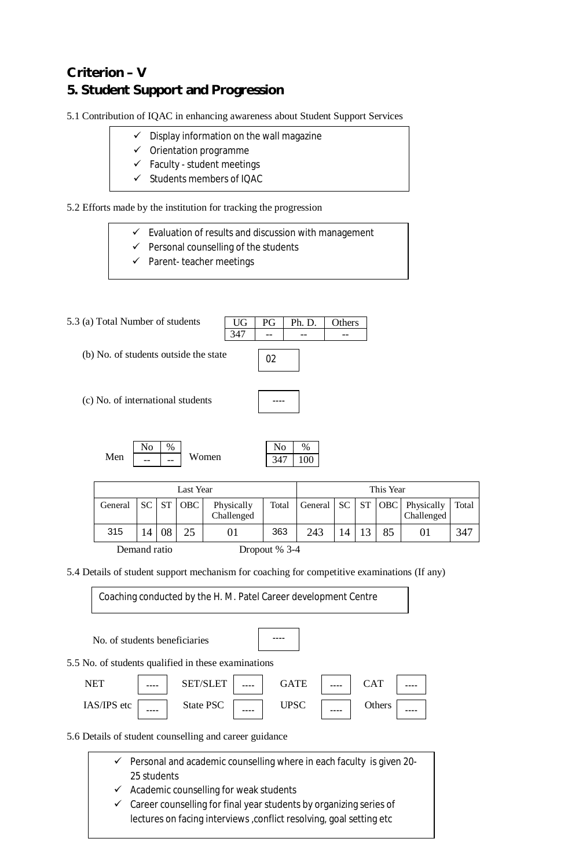# **Criterion – V 5. Student Support and Progression**

5.1 Contribution of IQAC in enhancing awareness about Student Support Services

- $\checkmark$  Display information on the wall magazine
- $\checkmark$  Orientation programme
- $\checkmark$  Faculty student meetings
- $\checkmark$  Students members of IQAC

5.2 Efforts made by the institution for tracking the progression

- $\checkmark$  Evaluation of results and discussion with management
- $\checkmark$  Personal counselling of the students
- $\checkmark$  Parent- teacher meetings

5.3 (a) Total Number of students (b) No. of students outside the state (c) No. of international students Men  $\begin{array}{|c|c|c|c|c|c|c|c|c|} \hline \end{array}$  Women UG PG Ph. D. Others  $347$  -- -No %  $\overline{a}$ No | % 347 100 02 ----

| Last Year                       |       |    |     | This Year                |       |     |    |  |    |                                                    |       |
|---------------------------------|-------|----|-----|--------------------------|-------|-----|----|--|----|----------------------------------------------------|-------|
| General                         | SC ST |    | OBC | Physically<br>Challenged | Total |     |    |  |    | General   SC   ST   OBC   Physically<br>Challenged | Total |
| 315                             | 14    | 08 | 25  |                          | 363   | 243 | 14 |  | 85 |                                                    | 347   |
| Demand ratio<br>Dropout $% 3-4$ |       |    |     |                          |       |     |    |  |    |                                                    |       |

5.4 Details of student support mechanism for coaching for competitive examinations (If any)

Coaching conducted by the H. M. Patel Career development Centre

| No. of students beneficiaries                       |                 |             |            |  |
|-----------------------------------------------------|-----------------|-------------|------------|--|
| 5.5 No. of students qualified in these examinations |                 |             |            |  |
| <b>NET</b>                                          | <b>SET/SLET</b> | <b>GATE</b> | <b>CAT</b> |  |
| IAS/IPS etc                                         | State PSC       | <b>UPSC</b> | Others     |  |

5.6 Details of student counselling and career guidance

- $\checkmark$  Personal and academic counselling where in each faculty is given 20-25 students
- $\checkmark$  Academic counselling for weak students
- $\checkmark$  Career counselling for final year students by organizing series of lectures on facing interviews , conflict resolving, goal setting etc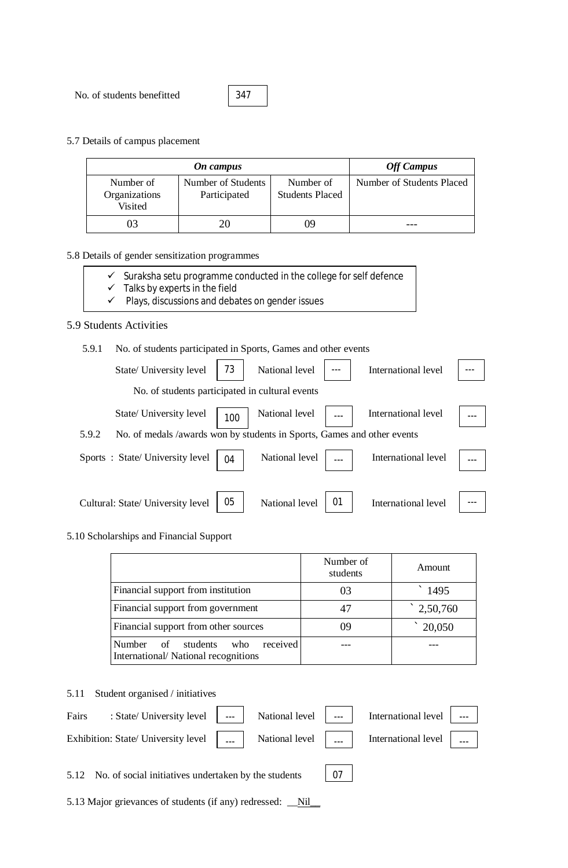No. of students benefitted

347

5.7 Details of campus placement

|                                       | <b>Off Campus</b>                  |                                     |                           |
|---------------------------------------|------------------------------------|-------------------------------------|---------------------------|
| Number of<br>Organizations<br>Visited | Number of Students<br>Participated | Number of<br><b>Students Placed</b> | Number of Students Placed |
|                                       |                                    | ю                                   |                           |

### 5.8 Details of gender sensitization programmes

- $\checkmark$  Suraksha setu programme conducted in the college for self defence
- Suransita setu programme c<br>
Talks by experts in the field<br>
V Plays, discussions
- Plays, discussions and debates on gender issues

### 5.9 Students Activities

#### 5.9.1 No. of students participated in Sports, Games and other events

| State/ University level                                                          | 73  | National level |    | International level |  |
|----------------------------------------------------------------------------------|-----|----------------|----|---------------------|--|
| No. of students participated in cultural events                                  |     |                |    |                     |  |
| State/ University level                                                          | 100 | National level |    | International level |  |
| No. of medals /awards won by students in Sports, Games and other events<br>5.9.2 |     |                |    |                     |  |
| Sports: State/University level                                                   | 04  | National level |    | International level |  |
| Cultural: State/ University level                                                | 05  | National level | 01 | International level |  |

#### 5.10 Scholarships and Financial Support

|                                                                                        | Number of<br>students | Amount             |
|----------------------------------------------------------------------------------------|-----------------------|--------------------|
| Financial support from institution                                                     | 03                    | 1495               |
| Financial support from government                                                      | 47                    | $\degree$ 2,50,760 |
| Financial support from other sources                                                   | 09                    | 20,050             |
| received<br><b>Number</b><br>of students<br>who<br>International/National recognitions |                       |                    |

#### 5.11 Student organised / initiatives

| Fairs : State/University level   ---   National level   ---   International level   --- |  |  |  |
|-----------------------------------------------------------------------------------------|--|--|--|
| Exhibition: State/ University level      National level      International level        |  |  |  |
|                                                                                         |  |  |  |

07

5.12 No. of social initiatives undertaken by the students

5.13 Major grievances of students (if any) redressed: \_\_Nil\_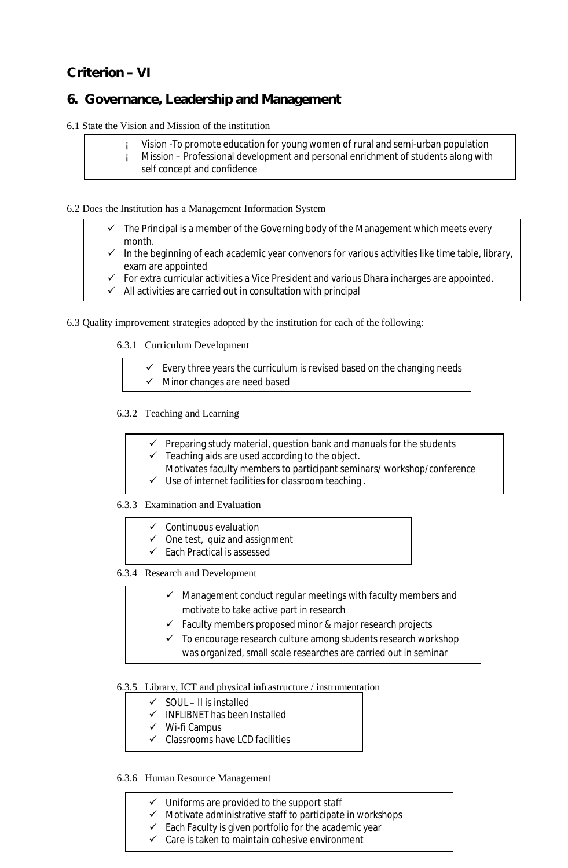## **Criterion – VI**

## **6. Governance, Leadership and Management**

6.1 State the Vision and Mission of the institution

| Vision - To promote education for young women of rural and semi-urban population  |
|-----------------------------------------------------------------------------------|
| Mission – Professional development and personal enrichment of students along with |
| self concept and confidence                                                       |

#### 6.2 Does the Institution has a Management Information System

- $\checkmark$  The Principal is a member of the Governing body of the Management which meets every month.
- $\checkmark$  In the beginning of each academic year convenors for various activities like time table, library, exam are appointed
- $\checkmark$  For extra curricular activities a Vice President and various Dhara incharges are appointed.
- $\checkmark$  All activities are carried out in consultation with principal

### 6.3 Quality improvement strategies adopted by the institution for each of the following:

6.3.1 Curriculum Development

 $\checkmark$  Every three years the curriculum is revised based on the changing needs  $\checkmark$  Minor changes are need based

#### 6.3.2 Teaching and Learning

- $\checkmark$  Preparing study material, question bank and manuals for the students
- $\checkmark$  Teaching aids are used according to the object.
- Motivates faculty members to participant seminars/ workshop/conference
- $\checkmark$  Use of internet facilities for classroom teaching.

#### 6.3.3 Examination and Evaluation

- $\checkmark$  Continuous evaluation
- $\checkmark$  One test, quiz and assignment
- $\checkmark$  Each Practical is assessed

6.3.4 Research and Development

- $\checkmark$  Management conduct regular meetings with faculty members and motivate to take active part in research
- $\checkmark$  Faculty members proposed minor & major research projects
- $\checkmark$  To encourage research culture among students research workshop was organized, small scale researches are carried out in seminar

#### 6.3.5 Library, ICT and physical infrastructure / instrumentation

- $\checkmark$  SOUL II is installed
- $\checkmark$  INFLIBNET has been Installed
- $\checkmark$  Wi-fi Campus
- $\checkmark$  Classrooms have LCD facilities

### 6.3.6 Human Resource Management

- $\checkmark$  Uniforms are provided to the support staff
- $\checkmark$  Motivate administrative staff to participate in workshops
- $\checkmark$  Each Faculty is given portfolio for the academic year
- $\checkmark$  Care is taken to maintain cohesive environment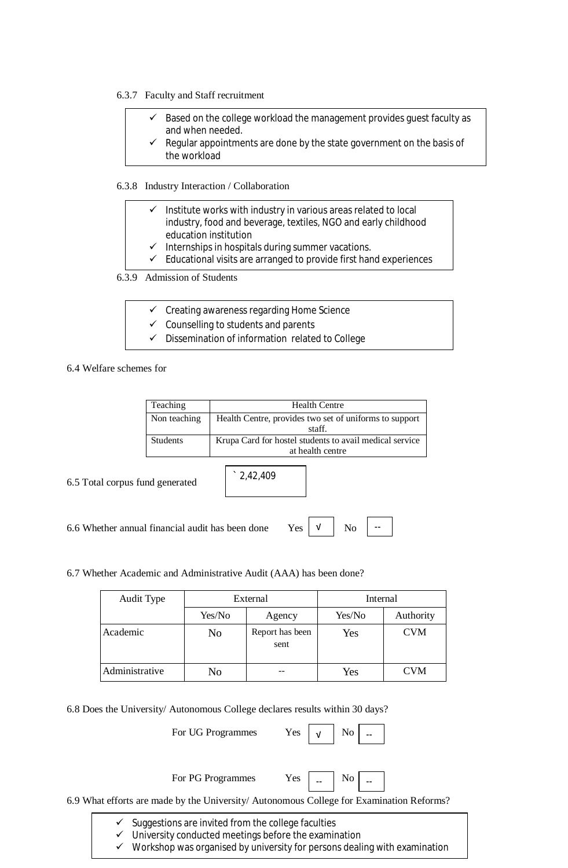#### 6.3.7 Faculty and Staff recruitment

- Based on the college workload the management provides guest faculty as and when needed.
- Regular appointments are done by the state government on the basis of the workload

6.3.8 Industry Interaction / Collaboration

- $\checkmark$  Institute works with industry in various areas related to local industry, food and beverage, textiles, NGO and early childhood education institution
- Internships in hospitals during summer vacations.
- $\checkmark$  Educational visits are arranged to provide first hand experiences

6.3.9 Admission of Students

- $\checkmark$  Creating awareness regarding Home Science
- $\checkmark$  Counselling to students and parents
- $\checkmark$  Dissemination of information related to College

6.4 Welfare schemes for

| Teaching        | <b>Health Centre</b>                                    |
|-----------------|---------------------------------------------------------|
| Non teaching    | Health Centre, provides two set of uniforms to support  |
|                 | staff.                                                  |
| <b>Students</b> | Krupa Card for hostel students to avail medical service |
|                 | at health centre                                        |

6.5 Total corpus fund generated

` 2,42,409

6.6 Whether annual financial audit has been done Yes



6.7 Whether Academic and Administrative Audit (AAA) has been done?

| Audit Type     | External |                         | Internal |            |
|----------------|----------|-------------------------|----------|------------|
|                | Yes/No   | Agency                  | Yes/No   | Authority  |
| Academic       | No       | Report has been<br>sent | Yes      | <b>CVM</b> |
| Administrative | No       |                         | Yes      | CVM        |

6.8 Does the University/ Autonomous College declares results within 30 days?

For UG Programmes Yes

|--|--|--|

For PG Programmes Yes



6.9 What efforts are made by the University/ Autonomous College for Examination Reforms?

- $\checkmark$  Suggestions are invited from the college faculties
- $\checkmark$  University conducted meetings before the examination
- $\checkmark$  Workshop was organised by university for persons dealing with examination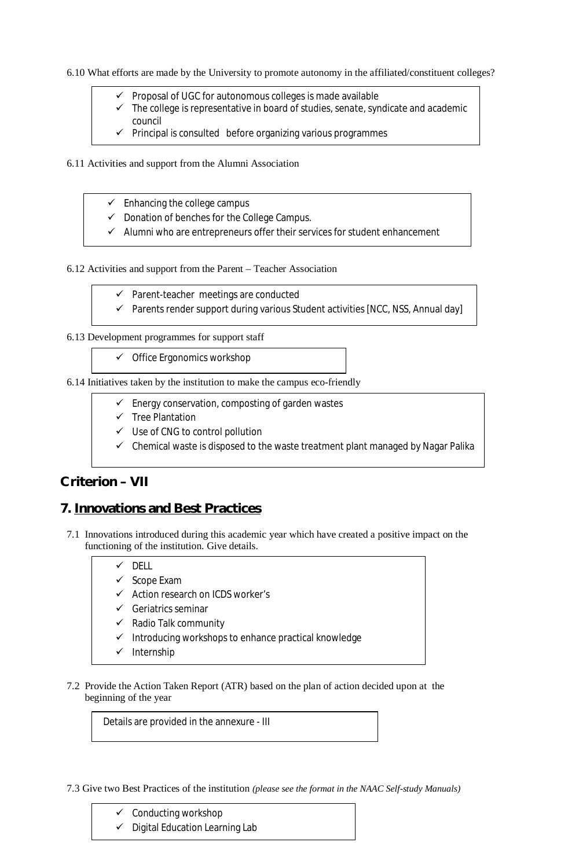6.10 What efforts are made by the University to promote autonomy in the affiliated/constituent colleges?

- $\checkmark$  Proposal of UGC for autonomous colleges is made available
- $\checkmark$  The college is representative in board of studies, senate, syndicate and academic council
- $\checkmark$  Principal is consulted before organizing various programmes
- 6.11 Activities and support from the Alumni Association
	- $\checkmark$  Enhancing the college campus
	- $\checkmark$  Donation of benches for the College Campus.
	- $\checkmark$  Alumni who are entrepreneurs offer their services for student enhancement

6.12 Activities and support from the Parent – Teacher Association

- $\checkmark$  Parent-teacher meetings are conducted
- $\checkmark$  Parents render support during various Student activities [NCC, NSS, Annual day]

6.13 Development programmes for support staff

 $\checkmark$  Office Ergonomics workshop

6.14 Initiatives taken by the institution to make the campus eco-friendly

- $\checkmark$  Energy conservation, composting of garden wastes
- $\checkmark$  Tree Plantation
- $\checkmark$  Use of CNG to control pollution
- $\checkmark$  Chemical waste is disposed to the waste treatment plant managed by Nagar Palika

## **Criterion – VII**

## **7. Innovations and Best Practices**

7.1 Innovations introduced during this academic year which have created a positive impact on the functioning of the institution. Give details.

### $\checkmark$  DELL

- $\checkmark$  Scope Exam
- $\checkmark$  Action research on ICDS worker's
- $\checkmark$  Geriatrics seminar
- $\checkmark$  Radio Talk community
- $\checkmark$  Introducing workshops to enhance practical knowledge
- $\checkmark$  Internship
- 7.2 Provide the Action Taken Report (ATR) based on the plan of action decided upon at the beginning of the year

Details are provided in the annexure - III

7.3 Give two Best Practices of the institution *(please see the format in the NAAC Self-study Manuals)*

- $\checkmark$  Conducting workshop
- $\checkmark$  Digital Education Learning Lab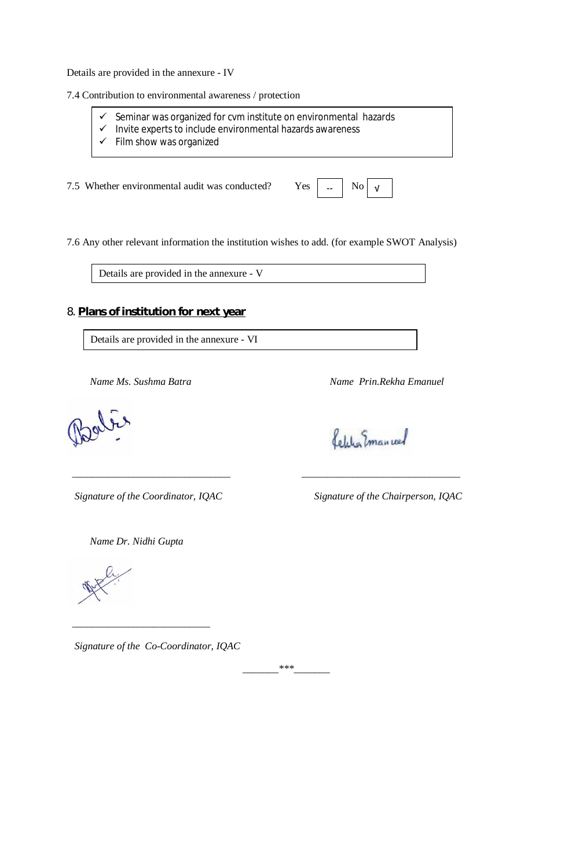Details are provided in the annexure - IV

7.4 Contribution to environmental awareness / protection

- $\checkmark$  Seminar was organized for cvm institute on environmental hazards
- $\checkmark$  Invite experts to include environmental hazards awareness
- $\checkmark$  Film show was organized

7.5 Whether environmental audit was conducted? Yes

|--|--|--|

7.6 Any other relevant information the institution wishes to add. (for example SWOT Analysis)

 *\_\_\_\_\_\_\_\_\_\_\_\_\_\_\_\_\_\_\_\_\_\_\_\_\_\_\_\_\_\_\_ \_\_\_\_\_\_\_\_\_\_\_\_\_\_\_\_\_\_\_\_\_\_\_\_\_\_\_\_\_\_\_* 

Details are provided in the annexure - V

### 8. **Plans of institution for next year**

Details are provided in the annexure - VI

 *Name Ms. Sushma Batra Name Prin.Rekha Emanuel*

Celilia Emanuel

 *Signature of the Coordinator, IQAC Signature of the Chairperson, IQAC*

 *Name Dr. Nidhi Gupta* 

 *\_\_\_\_\_\_\_\_\_\_\_\_\_\_\_\_\_\_\_\_\_\_\_\_\_\_\_* 

 *Signature of the Co-Coordinator, IQAC* 

*\_\_\_\_\_\_\_\*\*\*\_\_\_\_\_\_\_*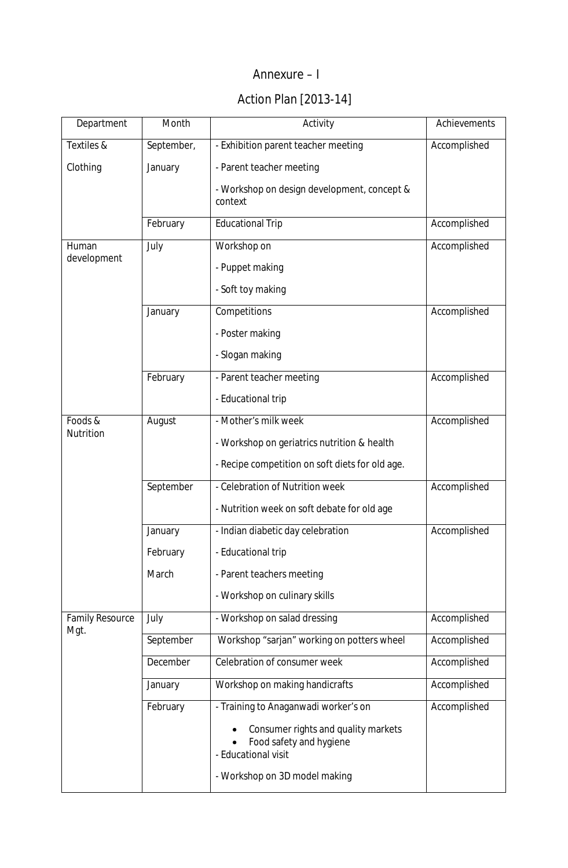## Annexure – I

## Action Plan [2013-14]

| Department             | Month      | Activity                                                                              | Achievements |
|------------------------|------------|---------------------------------------------------------------------------------------|--------------|
| Textiles &             | September, | - Exhibition parent teacher meeting                                                   | Accomplished |
| Clothing               | January    | - Parent teacher meeting                                                              |              |
|                        |            | - Workshop on design development, concept &<br>context                                |              |
|                        | February   | <b>Educational Trip</b>                                                               | Accomplished |
| Human                  | July       | Workshop on                                                                           | Accomplished |
| development            |            | - Puppet making                                                                       |              |
|                        |            | - Soft toy making                                                                     |              |
|                        | January    | Competitions                                                                          | Accomplished |
|                        |            | - Poster making                                                                       |              |
|                        |            | - Slogan making                                                                       |              |
|                        | February   | - Parent teacher meeting                                                              | Accomplished |
|                        |            | - Educational trip                                                                    |              |
| Foods &                | August     | - Mother's milk week                                                                  | Accomplished |
| Nutrition              |            | - Workshop on geriatrics nutrition & health                                           |              |
|                        |            | - Recipe competition on soft diets for old age.                                       |              |
|                        | September  | - Celebration of Nutrition week                                                       | Accomplished |
|                        |            | - Nutrition week on soft debate for old age                                           |              |
|                        | January    | - Indian diabetic day celebration                                                     | Accomplished |
|                        | February   | - Educational trip                                                                    |              |
|                        | March      | - Parent teachers meeting                                                             |              |
|                        |            | - Workshop on culinary skills                                                         |              |
| <b>Family Resource</b> | July       | - Workshop on salad dressing                                                          | Accomplished |
| Mgt.                   | September  | Workshop "sarjan" working on potters wheel                                            | Accomplished |
|                        | December   | Celebration of consumer week                                                          | Accomplished |
|                        | January    | Workshop on making handicrafts                                                        | Accomplished |
|                        | February   | - Training to Anaganwadi worker's on                                                  | Accomplished |
|                        |            | Consumer rights and quality markets<br>Food safety and hygiene<br>- Educational visit |              |
|                        |            | - Workshop on 3D model making                                                         |              |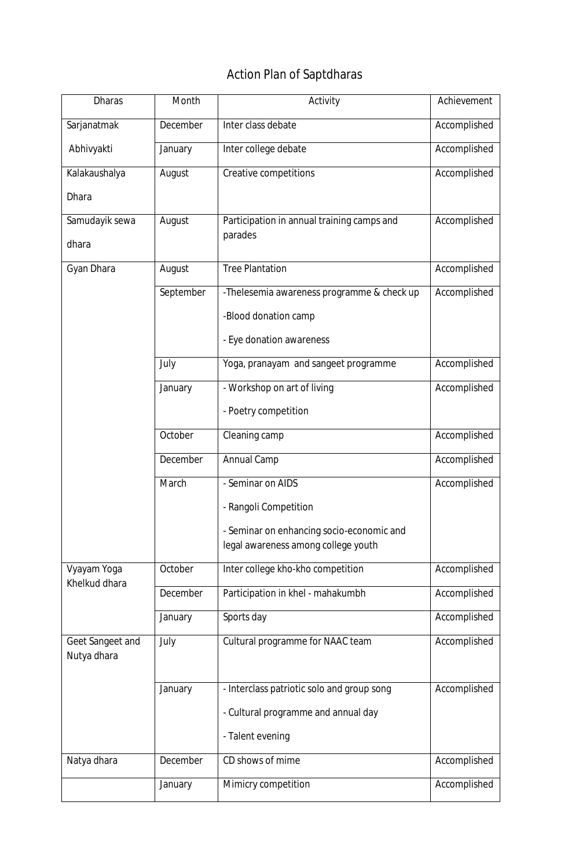# Action Plan of Saptdharas

| <b>Dharas</b>                   | Month     | Activity                                   | Achievement  |
|---------------------------------|-----------|--------------------------------------------|--------------|
| Sarjanatmak                     | December  | Inter class debate                         | Accomplished |
| Abhivyakti                      | January   | Inter college debate                       | Accomplished |
| Kalakaushalya                   | August    | Creative competitions                      | Accomplished |
| <b>Dhara</b>                    |           |                                            |              |
| Samudayik sewa                  | August    | Participation in annual training camps and | Accomplished |
| dhara                           |           | parades                                    |              |
| Gyan Dhara                      | August    | <b>Tree Plantation</b>                     | Accomplished |
|                                 | September | -Thelesemia awareness programme & check up | Accomplished |
|                                 |           | -Blood donation camp                       |              |
|                                 |           | - Eye donation awareness                   |              |
|                                 | July      | Yoga, pranayam and sangeet programme       | Accomplished |
|                                 | January   | - Workshop on art of living                | Accomplished |
|                                 |           | - Poetry competition                       |              |
|                                 | October   | Cleaning camp                              | Accomplished |
|                                 | December  | Annual Camp                                | Accomplished |
|                                 | March     | - Seminar on AIDS                          | Accomplished |
|                                 |           | Rangoli Competition                        |              |
|                                 |           | - Seminar on enhancing socio-economic and  |              |
|                                 |           | legal awareness among college youth        |              |
| Vyayam Yoga<br>Khelkud dhara    | October   | Inter college kho-kho competition          | Accomplished |
|                                 | December  | Participation in khel - mahakumbh          | Accomplished |
|                                 | January   | Sports day                                 | Accomplished |
| Geet Sangeet and<br>Nutya dhara | July      | Cultural programme for NAAC team           | Accomplished |
|                                 |           |                                            |              |
|                                 | January   | - Interclass patriotic solo and group song | Accomplished |
|                                 |           | - Cultural programme and annual day        |              |
|                                 |           | - Talent evening                           |              |
| Natya dhara                     | December  | CD shows of mime                           | Accomplished |
|                                 | January   | Mimicry competition                        | Accomplished |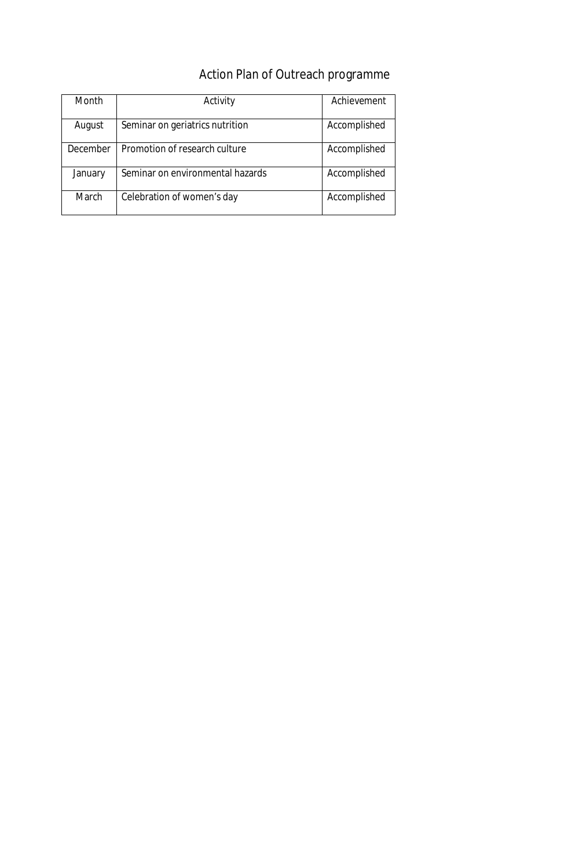# Action Plan of Outreach programme

| Month    | Activity                         | Achievement  |
|----------|----------------------------------|--------------|
| August   | Seminar on geriatrics nutrition  | Accomplished |
| December | Promotion of research culture    | Accomplished |
| January  | Seminar on environmental hazards | Accomplished |
| March    | Celebration of women's day       | Accomplished |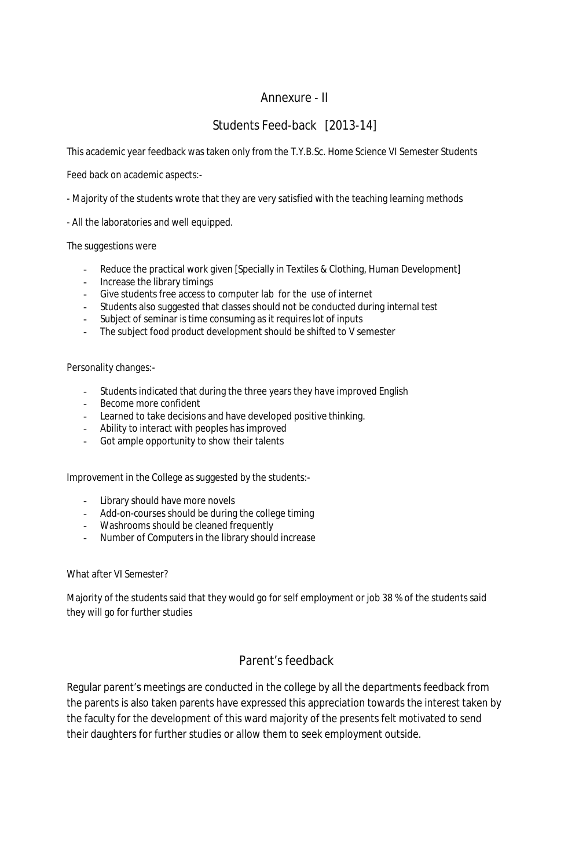## Annexure - II

## Students Feed-back [2013-14]

This academic year feedback was taken only from the T.Y.B.Sc. Home Science VI Semester Students

Feed back on academic aspects:-

- Majority of the students wrote that they are very satisfied with the teaching learning methods
- All the laboratories and well equipped.

### The suggestions were

- Reduce the practical work given [Specially in Textiles & Clothing, Human Development]
- Increase the library timings
- Give students free access to computer lab for the use of internet
- Students also suggested that classes should not be conducted during internal test
- Subject of seminar is time consuming as it requires lot of inputs
- The subject food product development should be shifted to V semester

### Personality changes:-

- Students indicated that during the three years they have improved English
- Become more confident
- Learned to take decisions and have developed positive thinking.
- Ability to interact with peoples has improved
- Got ample opportunity to show their talents

Improvement in the College as suggested by the students:-

- Library should have more novels
- Add-on-courses should be during the college timing
- Washrooms should be cleaned frequently
- Number of Computers in the library should increase

### What after VI Semester?

Majority of the students said that they would go for self employment or job 38 % of the students said they will go for further studies

## Parent's feedback

Regular parent's meetings are conducted in the college by all the departments feedback from the parents is also taken parents have expressed this appreciation towards the interest taken by the faculty for the development of this ward majority of the presents felt motivated to send their daughters for further studies or allow them to seek employment outside.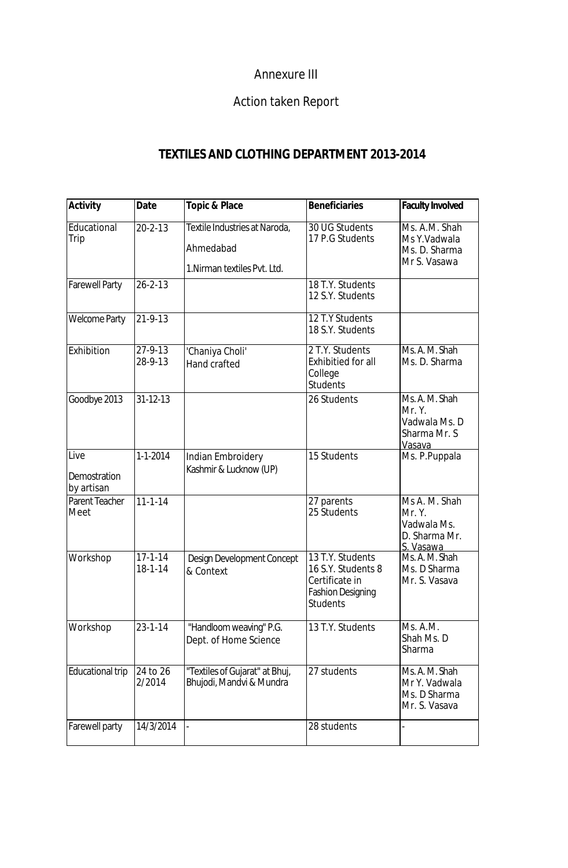## Annexure III

# Action taken Report

## **TEXTILES AND CLOTHING DEPARTMENT 2013-2014**

| <b>Activity</b>                    | <b>Date</b>                    | <b>Topic &amp; Place</b>                                                   | <b>Beneficiaries</b>                                                                                    | <b>Faculty Involved</b>                                              |
|------------------------------------|--------------------------------|----------------------------------------------------------------------------|---------------------------------------------------------------------------------------------------------|----------------------------------------------------------------------|
| Educational<br>Trip                | $20 - 2 - 13$                  | Textile Industries at Naroda,<br>Ahmedabad<br>1. Nirman textiles Pvt. Ltd. | 30 UG Students<br>17 P.G Students                                                                       | Ms. A.M. Shah<br>Ms Y.Vadwala<br>Ms. D. Sharma<br>Mr S. Vasawa       |
| <b>Farewell Party</b>              | $26 - 2 - 13$                  |                                                                            | 18 T.Y. Students<br>12 S.Y. Students                                                                    |                                                                      |
| <b>Welcome Party</b>               | $21 - 9 - 13$                  |                                                                            | $\overline{12}$ T.Y Students<br>18 S.Y. Students                                                        |                                                                      |
| Exhibition                         | 27-9-13<br>28-9-13             | 'Chaniya Choli'<br>Hand crafted                                            | 2 T.Y. Students<br>Exhibitied for all<br>College<br><b>Students</b>                                     | Ms. A. M. Shah<br>Ms. D. Sharma                                      |
| Goodbye 2013                       | $31 - 12 - 13$                 |                                                                            | 26 Students                                                                                             | Ms. A. M. Shah<br>Mr. Y.<br>Vadwala Ms. D<br>Sharma Mr. S<br>Vasava  |
| Live<br>Demostration<br>by artisan | $1 - 1 - 2014$                 | Indian Embroidery<br>Kashmir & Lucknow (UP)                                | 15 Students                                                                                             | Ms. P.Puppala                                                        |
| Parent Teacher<br>Meet             | $11 - 1 - 14$                  |                                                                            | 27 parents<br>25 Students                                                                               | Ms A. M. Shah<br>Mr. Y.<br>Vadwala Ms.<br>D. Sharma Mr.<br>S. Vasawa |
| Workshop                           | $17 - 1 - 14$<br>$18 - 1 - 14$ | Design Development Concept<br>& Context                                    | 13 T.Y. Students<br>16 S.Y. Students 8<br>Certificate in<br><b>Fashion Designing</b><br><b>Students</b> | Ms. A. M. Shah<br>Ms. D Sharma<br>Mr. S. Vasava                      |
| Workshop                           | $23 - 1 - 14$                  | "Handloom weaving" P.G.<br>Dept. of Home Science                           | 13 T.Y. Students                                                                                        | Ms. A.M.<br>Shah Ms. D<br>Sharma                                     |
| <b>Educational trip</b>            | 24 to 26<br>2/2014             | "Textiles of Gujarat" at Bhuj,<br>Bhujodi, Mandvi & Mundra                 | 27 students                                                                                             | Ms. A. M. Shah<br>Mr Y. Vadwala<br>Ms. D Sharma<br>Mr. S. Vasava     |
| Farewell party                     | 14/3/2014                      | $\overline{a}$                                                             | 28 students                                                                                             |                                                                      |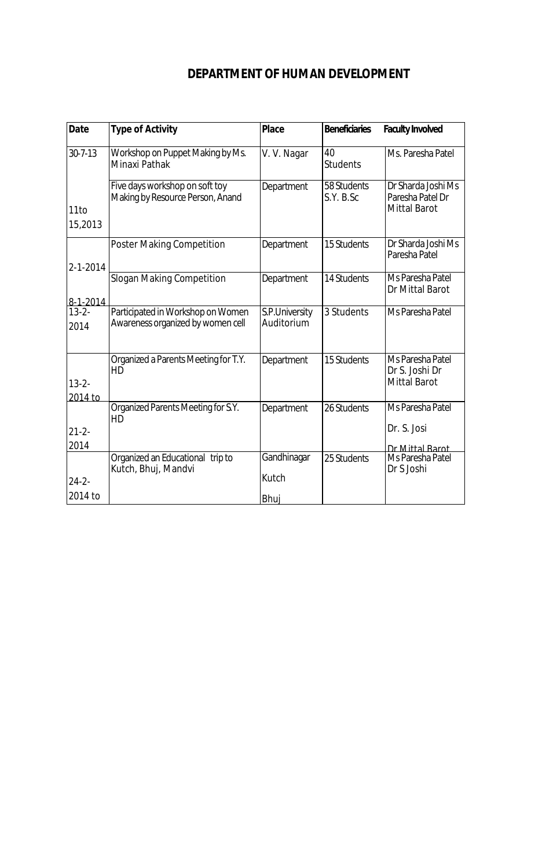## **DEPARTMENT OF HUMAN DEVELOPMENT**

| <b>Date</b>           | <b>Type of Activity</b>                                                | <b>Place</b>                 | <b>Beneficiaries</b>     | <b>Faculty Involved</b>                                       |
|-----------------------|------------------------------------------------------------------------|------------------------------|--------------------------|---------------------------------------------------------------|
| $30 - 7 - 13$         | Workshop on Puppet Making by Ms.<br>Minaxi Pathak                      | V. V. Nagar                  | 40<br><b>Students</b>    | Ms. Paresha Patel                                             |
| 11to<br>15,2013       | Five days workshop on soft toy<br>Making by Resource Person, Anand     | Department                   | 58 Students<br>S.Y. B.Sc | Dr Sharda Joshi Ms<br>Paresha Patel Dr<br><b>Mittal Barot</b> |
| $2 - 1 - 2014$        | <b>Poster Making Competition</b>                                       | Department                   | 15 Students              | Dr Sharda Joshi Ms<br>Paresha Patel                           |
| 8-1-2014              | <b>Slogan Making Competition</b>                                       | Department                   | 14 Students              | Ms Paresha Patel<br>Dr Mittal Barot                           |
| $13 - 2 -$<br>2014    | Participated in Workshop on Women<br>Awareness organized by women cell | S.P.University<br>Auditorium | 3 Students               | Ms Paresha Patel                                              |
| $13 - 2 -$<br>2014 to | Organized a Parents Meeting for T.Y.<br>HD                             | Department                   | 15 Students              | Ms Paresha Patel<br>Dr S. Joshi Dr<br><b>Mittal Barot</b>     |
|                       | Organized Parents Meeting for S.Y.<br>HD                               | Department                   | 26 Students              | Ms Paresha Patel                                              |
| $21 - 2 -$<br>2014    |                                                                        |                              |                          | Dr. S. Josi<br>Dr Mittal Barot                                |
| $24 - 2 -$            | Organized an Educational trip to<br>Kutch, Bhuj, Mandvi                | Gandhinagar<br>Kutch         | 25 Students              | Ms Paresha Patel<br>Dr S Joshi                                |
| 2014 to               |                                                                        | Bhuj                         |                          |                                                               |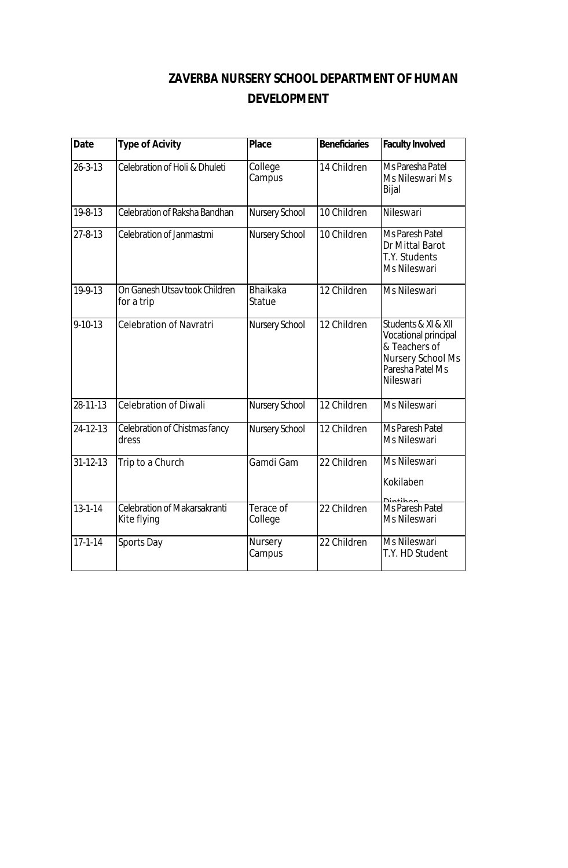# **ZAVERBA NURSERY SCHOOL DEPARTMENT OF HUMAN DEVELOPMENT**

| <b>Date</b>    | <b>Type of Acivity</b>                             | <b>Place</b>              | <b>Beneficiaries</b> | <b>Faculty Involved</b>                                                                                            |
|----------------|----------------------------------------------------|---------------------------|----------------------|--------------------------------------------------------------------------------------------------------------------|
| $26 - 3 - 13$  | Celebration of Holi & Dhuleti                      | College<br>Campus         | 14 Children          | Ms Paresha Patel<br>Ms Nileswari Ms<br>Bijal                                                                       |
| 19-8-13        | Celebration of Raksha Bandhan                      | Nursery School            | 10 Children          | Nileswari                                                                                                          |
| 27-8-13        | Celebration of Janmastmi                           | Nursery School            | 10 Children          | Ms Paresh Patel<br>Dr Mittal Barot<br>T.Y. Students<br>Ms Nileswari                                                |
| 19-9-13        | On Ganesh Utsay took Children<br>for a trip        | <b>Bhaikaka</b><br>Statue | 12 Children          | Ms Nileswari                                                                                                       |
| $9 - 10 - 13$  | <b>Celebration of Navratri</b>                     | Nursery School            | 12 Children          | Students & XI & XII<br>Vocational principal<br>& Teachers of<br>Nursery School Ms<br>Paresha Patel Ms<br>Nileswari |
| 28-11-13       | <b>Celebration of Diwali</b>                       | Nursery School            | 12 Children          | Ms Nileswari                                                                                                       |
| 24-12-13       | Celebration of Chistmas fancy<br>dress             | Nursery School            | 12 Children          | Ms Paresh Patel<br>Ms Nileswari                                                                                    |
| $31 - 12 - 13$ | Trip to a Church                                   | Gamdi Gam                 | 22 Children          | <b>Ms Nileswari</b><br>Kokilaben                                                                                   |
| $13 - 1 - 14$  | <b>Celebration of Makarsakranti</b><br>Kite flying | Terace of<br>College      | 22 Children          | ممطناعمنه<br>Ms Paresh Patel<br>Ms Nileswari                                                                       |
| $17 - 1 - 14$  | Sports Day                                         | Nursery<br>Campus         | 22 Children          | Ms Nileswari<br>T.Y. HD Student                                                                                    |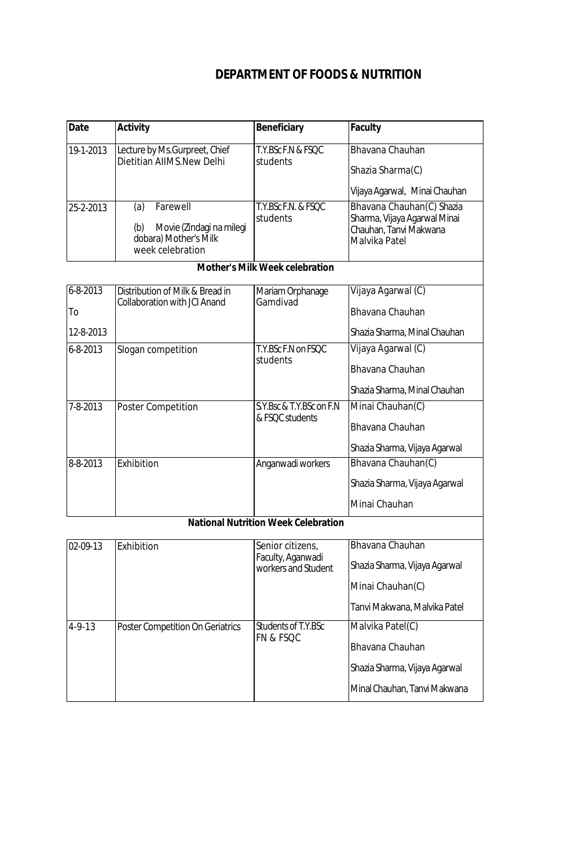## **DEPARTMENT OF FOODS & NUTRITION**

| <b>Date</b> | <b>Activity</b>                                                                                 | <b>Beneficiary</b>              | Faculty                                                                                              |
|-------------|-------------------------------------------------------------------------------------------------|---------------------------------|------------------------------------------------------------------------------------------------------|
| 19-1-2013   | Lecture by Ms.Gurpreet, Chief<br>Dietitian AIIMS.New Delhi                                      | T.Y.BSc F.N & FSQC<br>students  | Bhavana Chauhan<br>Shazia Sharma(C)<br>Vijaya Agarwal, Minai Chauhan                                 |
| 25-2-2013   | Farewell<br>(a)<br>Movie (Zindagi na milegi<br>(b)<br>dobara) Mother's Milk<br>week celebration | T.Y.BSc F.N. & FSOC<br>students | Bhavana Chauhan(C) Shazia<br>Sharma, Vijaya Agarwal Minai<br>Chauhan, Tanvi Makwana<br>Malvika Patel |

### **Mother's Milk Week celebration**

| $6 - 8 - 2013$ | Distribution of Milk & Bread in     | Mariam Orphanage         | Vijaya Agarwal (C)            |
|----------------|-------------------------------------|--------------------------|-------------------------------|
| To             | <b>Collaboration with JCI Anand</b> | Gamdivad                 | Bhayana Chauhan               |
| 12-8-2013      |                                     |                          | Shazia Sharma, Minal Chauhan  |
| $6 - 8 - 2013$ | Slogan competition                  | T.Y.BSc.F.N.on FSOC      | Vijaya Agarwal (C)            |
|                |                                     | students                 | Bhayana Chauhan               |
|                |                                     |                          | Shazia Sharma, Minal Chauhan  |
| 7-8-2013       | <b>Poster Competition</b>           | S.Y.Bsc & T.Y.BSc on F.N | Minai Chauhan(C)              |
|                |                                     | & FSOC students          | Bhavana Chauhan               |
|                |                                     |                          | Shazia Sharma, Vijaya Agarwal |
| 8-8-2013       | <b>Fxhibition</b>                   | Anganwadi workers        | Bhavana Chauhan(C)            |
|                |                                     |                          | Shazia Sharma, Vijaya Agarwal |
|                |                                     |                          | Minai Chauhan                 |

### **National Nutrition Week Celebration**

| 02-09-13     | Exhibition                       | Senior citizens,<br>Faculty, Aganwadi<br>workers and Student | Bhavana Chauhan<br>Shazia Sharma, Vijaya Agarwal                                                     |
|--------------|----------------------------------|--------------------------------------------------------------|------------------------------------------------------------------------------------------------------|
|              |                                  |                                                              | Minai Chauhan(C)<br>Tanvi Makwana, Malvika Patel                                                     |
| $4 - 9 - 13$ | Poster Competition On Geriatrics | Students of T.Y.BSc<br>IFN & FSQC                            | Malvika Patel(C)<br>Bhavana Chauhan<br>Shazia Sharma, Vijaya Agarwal<br>Minal Chauhan, Tanvi Makwana |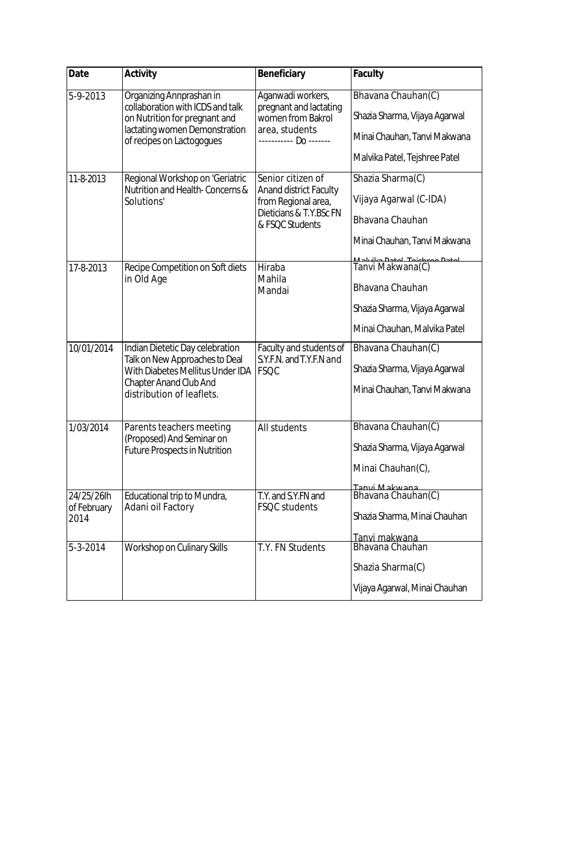| <b>Date</b>                       | <b>Activity</b>                                                                                                                                                            | <b>Beneficiary</b>                                                                                                      | <b>Faculty</b>                                                                                                                        |
|-----------------------------------|----------------------------------------------------------------------------------------------------------------------------------------------------------------------------|-------------------------------------------------------------------------------------------------------------------------|---------------------------------------------------------------------------------------------------------------------------------------|
| 5-9-2013                          | Organizing Annprashan in<br>collaboration with ICDS and talk<br>on Nutrition for pregnant and<br>lactating women Demonstration<br>of recipes on Lactogogues                | Aganwadi workers,<br>pregnant and lactating<br>women from Bakrol<br>area, students                                      | Bhavana Chauhan(C)<br>Shazia Sharma, Vijaya Agarwal<br>Minai Chauhan, Tanvi Makwana<br>Malvika Patel, Tejshree Patel                  |
| 11-8-2013                         | Regional Workshop on 'Geriatric<br>Nutrition and Health-Concerns &<br>Solutions'                                                                                           | Senior citizen of<br><b>Anand district Faculty</b><br>from Regional area,<br>Dieticians & T.Y.BSc FN<br>& FSQC Students | Shazia Sharma(C)<br>Vijaya Agarwal (C-IDA)<br>Bhavana Chauhan<br>Minai Chauhan, Tanvi Makwana<br><u> Mahulica Datal Taichrad Data</u> |
| 17-8-2013                         | Recipe Competition on Soft diets<br>in Old Age                                                                                                                             | Hiraba<br>Mahila<br>Mandai                                                                                              | Tanvi Makwana(C)<br>Bhavana Chauhan<br>Shazia Sharma, Vijaya Agarwal<br>Minai Chauhan, Malvika Patel                                  |
| 10/01/2014                        | Indian Dietetic Day celebration<br>Talk on New Approaches to Deal<br><b>With Diabetes Mellitus Under IDA</b><br><b>Chapter Anand Club And</b><br>distribution of leaflets. | Faculty and students of<br>S.Y.F.N. and T.Y.F.N and<br><b>FSQC</b>                                                      | Bhavana Chauhan(C)<br>Shazia Sharma, Vijaya Agarwal<br>Minai Chauhan, Tanvi Makwana                                                   |
| 1/03/2014                         | Parents teachers meeting<br>(Proposed) And Seminar on<br><b>Future Prospects in Nutrition</b>                                                                              | All students                                                                                                            | Bhavana Chauhan(C)<br>Shazia Sharma, Vijaya Agarwal<br>Minai Chauhan(C),<br><u>Tanvi Makwana</u>                                      |
| 24/25/26lh<br>of February<br>2014 | Educational trip to Mundra,<br>Adani oil Factory                                                                                                                           | T.Y. and S.Y.FN and<br>FSQC students                                                                                    | Bhavana Chauhan(C)<br>Shazia Sharma, Minai Chauhan<br>Tanvi makwana                                                                   |
| 5-3-2014                          | Workshop on Culinary Skills                                                                                                                                                | T.Y. FN Students                                                                                                        | Bhavana Chauhan<br>Shazia Sharma(C)<br>Vijaya Agarwal, Minai Chauhan                                                                  |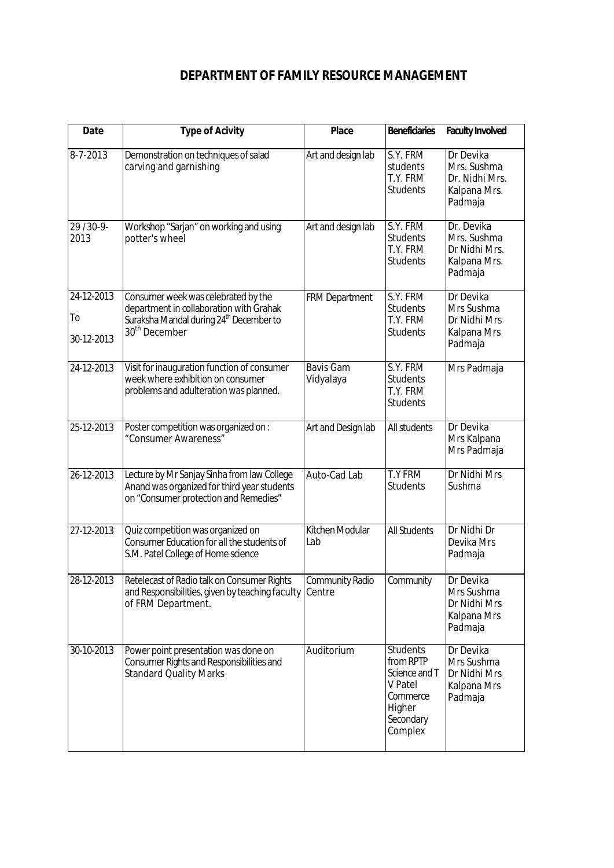## **DEPARTMENT OF FAMILY RESOURCE MANAGEMENT**

| <b>Date</b>                    | <b>Type of Acivity</b>                                                                                                                                             | <b>Place</b>                     | <b>Beneficiaries</b>                                                                                   | <b>Faculty Involved</b>                                               |
|--------------------------------|--------------------------------------------------------------------------------------------------------------------------------------------------------------------|----------------------------------|--------------------------------------------------------------------------------------------------------|-----------------------------------------------------------------------|
| 8-7-2013                       | Demonstration on techniques of salad<br>carving and garnishing                                                                                                     | Art and design lab               | $\overline{S}$ .Y. FRM<br>students<br>T.Y. FRM<br><b>Students</b>                                      | Dr Devika<br>Mrs. Sushma<br>Dr. Nidhi Mrs.<br>Kalpana Mrs.<br>Padmaja |
| 29/30-9-<br>2013               | Workshop "Sarjan" on working and using<br>potter's wheel                                                                                                           | Art and design lab               | S.Y. FRM<br><b>Students</b><br>T.Y. FRM<br><b>Students</b>                                             | Dr. Devika<br>Mrs. Sushma<br>Dr Nidhi Mrs.<br>Kalpana Mrs.<br>Padmaja |
| 24-12-2013<br>To<br>30-12-2013 | Consumer week was celebrated by the<br>department in collaboration with Grahak<br>Suraksha Mandal during 24 <sup>th</sup> December to<br>30 <sup>th</sup> December | <b>FRM Department</b>            | S.Y. FRM<br><b>Students</b><br>T.Y. FRM<br><b>Students</b>                                             | Dr Devika<br>Mrs Sushma<br>Dr Nidhi Mrs<br>Kalpana Mrs<br>Padmaja     |
| 24-12-2013                     | Visit for inauguration function of consumer<br>week where exhibition on consumer<br>problems and adulteration was planned.                                         | <b>Bavis Gam</b><br>Vidyalaya    | S.Y. FRM<br><b>Students</b><br>T.Y. FRM<br><b>Students</b>                                             | Mrs Padmaja                                                           |
| 25-12-2013                     | Poster competition was organized on :<br>"Consumer Awareness"                                                                                                      | Art and Design lab               | All students                                                                                           | Dr Devika<br>Mrs Kalpana<br>Mrs Padmaja                               |
| 26-12-2013                     | Lecture by Mr Sanjay Sinha from law College<br>Anand was organized for third year students<br>on "Consumer protection and Remedies"                                | Auto-Cad Lab                     | <b>T.Y FRM</b><br><b>Students</b>                                                                      | Dr Nidhi Mrs<br>Sushma                                                |
| 27-12-2013                     | Quiz competition was organized on<br>Consumer Education for all the students of<br>S.M. Patel College of Home science                                              | Kitchen Modular<br>Lab           | <b>All Students</b>                                                                                    | Dr Nidhi Dr<br>Devika Mrs<br>Padmaja                                  |
| 28-12-2013                     | Retelecast of Radio talk on Consumer Rights<br>and Responsibilities, given by teaching faculty<br>of FRM Department.                                               | <b>Community Radio</b><br>Centre | Community                                                                                              | Dr Devika<br>Mrs Sushma<br>Dr Nidhi Mrs<br>Kalpana Mrs<br>Padmaja     |
| 30-10-2013                     | Power point presentation was done on<br>Consumer Rights and Responsibilities and<br><b>Standard Quality Marks</b>                                                  | Auditorium                       | <b>Students</b><br>from RPTP<br>Science and T<br>V Patel<br>Commerce<br>Higher<br>Secondary<br>Complex | Dr Devika<br>Mrs Sushma<br>Dr Nidhi Mrs<br>Kalpana Mrs<br>Padmaja     |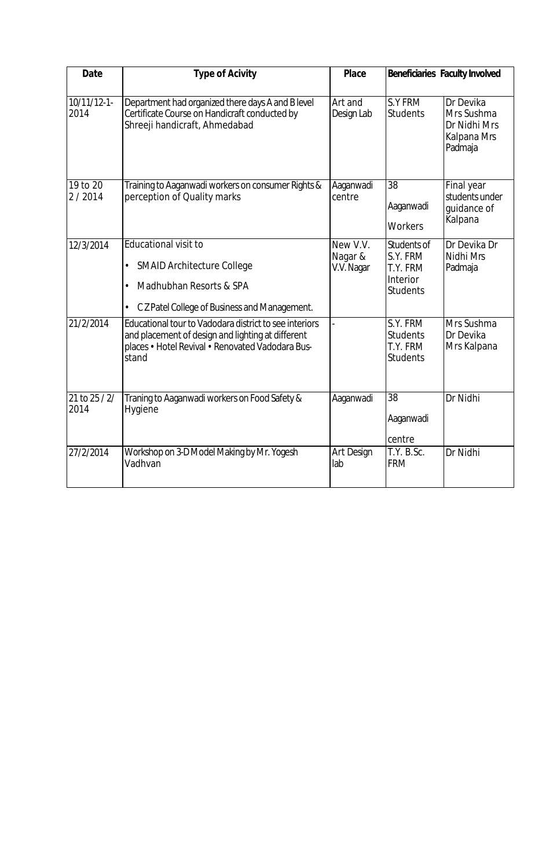| <b>Date</b>           | <b>Type of Acivity</b>                                                                                                                                                   | <b>Place</b>                      |                                                                    | <b>Beneficiaries Faculty Involved</b>                             |
|-----------------------|--------------------------------------------------------------------------------------------------------------------------------------------------------------------------|-----------------------------------|--------------------------------------------------------------------|-------------------------------------------------------------------|
| $10/11/12-1$<br>2014  | Department had organized there days A and B level<br>Certificate Course on Handicraft conducted by<br>Shreeji handicraft, Ahmedabad                                      | Art and<br>Design Lab             | S.Y FRM<br><b>Students</b>                                         | Dr Devika<br>Mrs Sushma<br>Dr Nidhi Mrs<br>Kalpana Mrs<br>Padmaja |
| 19 to 20<br>2/2014    | Training to Aaganwadi workers on consumer Rights &<br>perception of Quality marks                                                                                        | Aaganwadi<br>centre               | 38<br>Aaganwadi<br>Workers                                         | Final year<br>students under<br>quidance of<br>Kalpana            |
| 12/3/2014             | <b>Educational visit to</b><br><b>SMAID Architecture College</b><br>$\bullet$<br>Madhubhan Resorts & SPA<br>C Z Patel College of Business and Management.<br>٠           | New V.V.<br>Nagar &<br>V.V. Nagar | Students of<br>S.Y. FRM<br>T.Y. FRM<br>Interior<br><b>Students</b> | Dr Devika Dr<br>Nidhi Mrs<br>Padmaja                              |
| 21/2/2014             | Educational tour to Vadodara district to see interiors<br>and placement of design and lighting at different<br>places • Hotel Revival • Renovated Vadodara Bus-<br>stand |                                   | S.Y. FRM<br><b>Students</b><br>T.Y. FRM<br><b>Students</b>         | Mrs Sushma<br>Dr Devika<br>Mrs Kalpana                            |
| 21 to $25/2/$<br>2014 | Traning to Aaganwadi workers on Food Safety &<br>Hygiene                                                                                                                 | Aaganwadi                         | 38<br>Aaganwadi<br>centre                                          | Dr Nidhi                                                          |
| 27/2/2014             | Workshop on 3-D Model Making by Mr. Yogesh<br>Vadhvan                                                                                                                    | Art Design<br>lab                 | T.Y. B.Sc.<br><b>FRM</b>                                           | Dr Nidhi                                                          |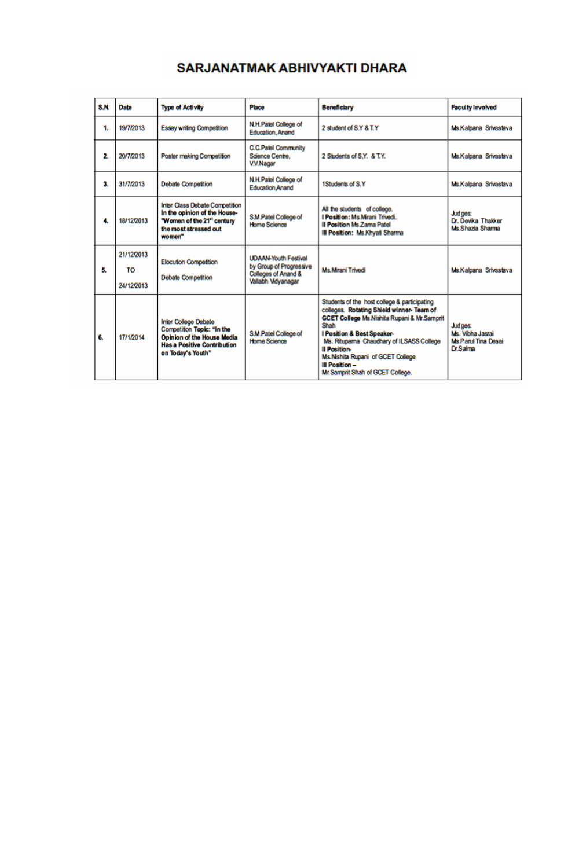# SARJANATMAK ABHIVYAKTI DHARA

| S.N. | <b>Date</b>                    | <b>Type of Activity</b>                                                                                                                            | <b>Place</b>                                                                                        | Beneficiary                                                                                                                                                                                                                                                                                                                                              | <b>Faculty Involved</b>                                               |
|------|--------------------------------|----------------------------------------------------------------------------------------------------------------------------------------------------|-----------------------------------------------------------------------------------------------------|----------------------------------------------------------------------------------------------------------------------------------------------------------------------------------------------------------------------------------------------------------------------------------------------------------------------------------------------------------|-----------------------------------------------------------------------|
| 1.   | 19/7/2013                      | <b>Essay writing Competition</b>                                                                                                                   | N.H.Patel College of<br><b>Education, Anand</b>                                                     | 2 student of S.Y & T.Y                                                                                                                                                                                                                                                                                                                                   | Ms.Kalpana Srivastava                                                 |
| 2.   | 20/7/2013                      | Poster making Competition                                                                                                                          | <b>C.C.Patel Community</b><br>Science Centre.<br>V.V.Nagar                                          | 2 Students of S.Y. & T.Y.                                                                                                                                                                                                                                                                                                                                | Ms.Kalpana Srivastava                                                 |
| 3.   | 31/7/2013                      | <b>Debate Competition</b>                                                                                                                          | N.H.Patel College of<br><b>Education Anand</b>                                                      | 1Students of S.Y.                                                                                                                                                                                                                                                                                                                                        | Ms.Kalpana Srivastava                                                 |
| 4.   | 18/12/2013                     | Inter Class Debate Competition<br>In the opinion of the House-<br>"Women of the 21" century<br>the most stressed out<br>women"                     | S.M.Patel College of<br>Home Science                                                                | All the students of college.<br>I Position: Ms. Mrani Trivedi.<br><b>Il Position Ms Zama Patel</b><br>Ill Position: Ms.Khyati Sharma                                                                                                                                                                                                                     | Judges:<br>Dr. Devika Thakker<br>Ms.Shazia Sharma                     |
| 5.   | 21/12/2013<br>TO<br>24/12/2013 | <b>Elocution Competition</b><br><b>Debate Competition</b>                                                                                          | <b>UDAAN-Youth Festival</b><br>by Group of Progressive<br>Colleges of Anand &<br>Vallabh Vidyanagar | Ms Mrani Trivedi                                                                                                                                                                                                                                                                                                                                         | Ms.Kalpana Srivastava                                                 |
| 6.   | 17/1/2014                      | <b>Inter College Debate</b><br>Competition Topic: "In the<br>Opinion of the House Media<br><b>Has a Positive Contribution</b><br>on Today's Youth" | <b>S.M.Patel College of</b><br>Home Science                                                         | Students of the host college & participating<br>colleges. Rotating Shield winner- Team of<br><b>GCET College Ms Nishita Rupani &amp; Mr.Samprit</b><br>Shah<br>I Position & Best Speaker-<br>Ms. Ritupama Chaudhary of ILSASS College<br><b>Il Position-</b><br>Ms.Nishita Rupani of GCET College<br>Ill Position -<br>Mr. Samprit Shah of GCET College. | Judges:<br>Ms. Vibha Jasrai<br>Ms Parul Tina Desai<br><b>Dr.Salma</b> |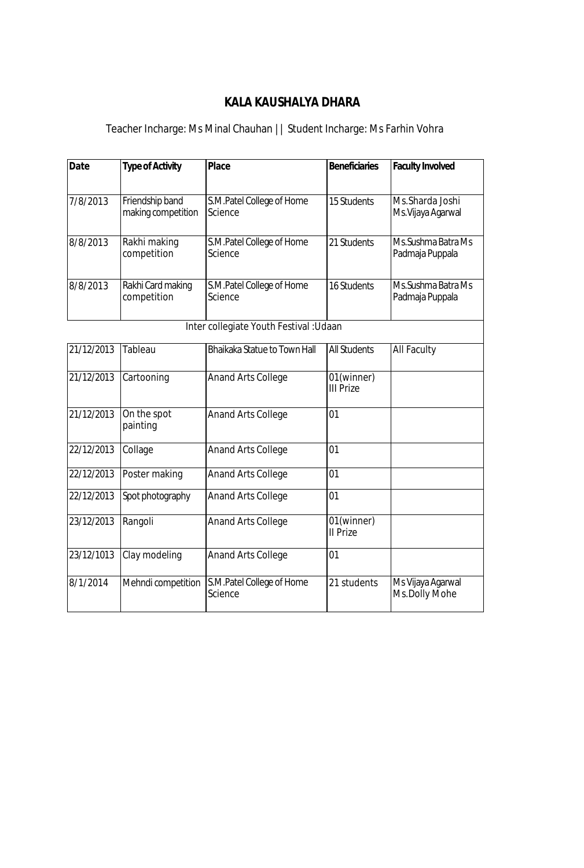# **KALA KAUSHALYA DHARA**

# Teacher Incharge: Ms Minal Chauhan || Student Incharge: Ms Farhin Vohra

| <b>Date</b> | <b>Type of Activity</b>               | <b>Place</b>                            | <b>Beneficiaries</b>           | <b>Faculty Involved</b>                |
|-------------|---------------------------------------|-----------------------------------------|--------------------------------|----------------------------------------|
| 7/8/2013    | Friendship band<br>making competition | S.M.Patel College of Home<br>Science    | 15 Students                    | Ms.Sharda Joshi<br>Ms. Vijaya Agarwal  |
| 8/8/2013    | Rakhi making<br>competition           | S.M.Patel College of Home<br>Science    | 21 Students                    | Ms. Sushma Batra Ms<br>Padmaja Puppala |
| 8/8/2013    | Rakhi Card making<br>competition      | S.M.Patel College of Home<br>Science    | 16 Students                    | Ms. Sushma Batra Ms<br>Padmaja Puppala |
|             |                                       | Inter collegiate Youth Festival : Udaan |                                |                                        |
| 21/12/2013  | Tableau                               | <b>Bhaikaka Statue to Town Hall</b>     | <b>All Students</b>            | All Faculty                            |
| 21/12/2013  | Cartooning                            | <b>Anand Arts College</b>               | 01(winner)<br><b>III Prize</b> |                                        |
| 21/12/2013  | On the spot<br>painting               | <b>Anand Arts College</b>               | 01                             |                                        |
| 22/12/2013  | Collage                               | <b>Anand Arts College</b>               | 01                             |                                        |
| 22/12/2013  | Poster making                         | <b>Anand Arts College</b>               | 01                             |                                        |
| 22/12/2013  | Spot photography                      | <b>Anand Arts College</b>               | 01                             |                                        |
| 23/12/2013  | Rangoli                               | <b>Anand Arts College</b>               | 01(winner)<br>II Prize         |                                        |
| 23/12/1013  | Clay modeling                         | <b>Anand Arts College</b>               | 01                             |                                        |
| 8/1/2014    | Mehndi competition                    | S.M.Patel College of Home<br>Science    | 21 students                    | Ms Vijaya Agarwal<br>Ms.Dolly Mohe     |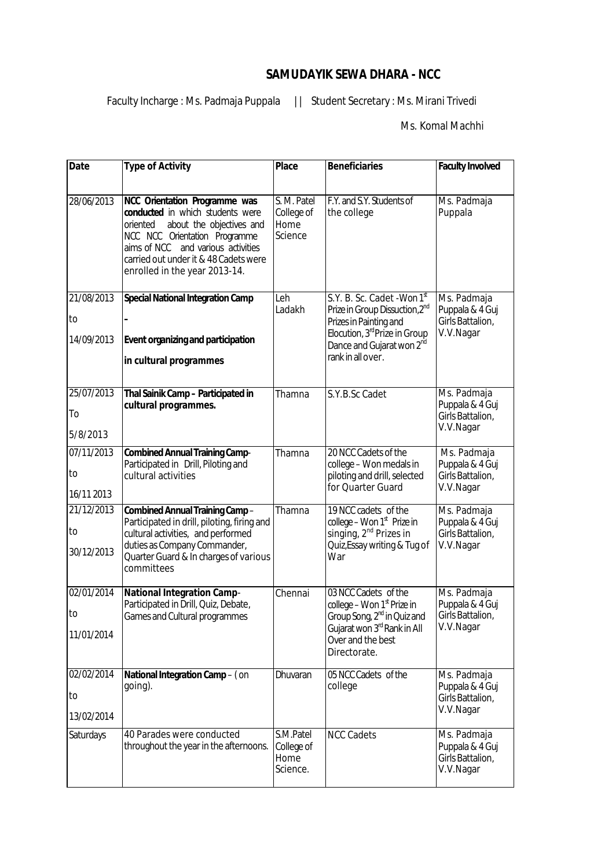## **SAMUDAYIK SEWA DHARA - NCC**

Faculty Incharge : Ms. Padmaja Puppala | | Student Secretary : Ms. Mirani Trivedi

Ms. Komal Machhi

| <b>Date</b>                    | <b>Type of Activity</b>                                                                                                                                                                                                                                    | <b>Place</b>                                 | <b>Beneficiaries</b>                                                                                                                                                                                           | <b>Faculty Involved</b>                                         |
|--------------------------------|------------------------------------------------------------------------------------------------------------------------------------------------------------------------------------------------------------------------------------------------------------|----------------------------------------------|----------------------------------------------------------------------------------------------------------------------------------------------------------------------------------------------------------------|-----------------------------------------------------------------|
| 28/06/2013                     | NCC Orientation Programme was<br>conducted in which students were<br>about the objectives and<br>oriented<br>NCC NCC Orientation Programme<br>aims of NCC and various activities<br>carried out under it & 48 Cadets were<br>enrolled in the year 2013-14. | S. M. Patel<br>College of<br>Home<br>Science | F.Y. and S.Y. Students of<br>the college                                                                                                                                                                       | Ms. Padmaja<br>Puppala                                          |
| 21/08/2013<br>to<br>14/09/2013 | <b>Special National Integration Camp</b><br><b>Event organizing and participation</b><br>in cultural programmes                                                                                                                                            | Leh<br>Ladakh                                | S.Y. B. Sc. Cadet - Won 1st<br>Prize in Group Dissuction, 2 <sup>nd</sup><br>Prizes in Painting and<br>Elocution, 3 <sup>rd</sup> Prize in Group<br>Dance and Gujarat won 2 <sup>nd</sup><br>rank in all over. | Ms. Padmaja<br>Puppala & 4 Guj<br>Girls Battalion,<br>V.V.Nagar |
| 25/07/2013<br>To<br>5/8/2013   | Thal Sainik Camp - Participated in<br>cultural programmes.                                                                                                                                                                                                 | Thamna                                       | S.Y.B.Sc Cadet                                                                                                                                                                                                 | Ms. Padmaja<br>Puppala & 4 Guj<br>Girls Battalion,<br>V.V.Nagar |
| 07/11/2013<br>to<br>16/11 2013 | <b>Combined Annual Training Camp-</b><br>Participated in Drill, Piloting and<br>cultural activities                                                                                                                                                        | Thamna                                       | 20 NCC Cadets of the<br>college - Won medals in<br>piloting and drill, selected<br>for Quarter Guard                                                                                                           | Ms. Padmaja<br>Puppala & 4 Guj<br>Girls Battalion,<br>V.V.Nagar |
| 21/12/2013<br>to<br>30/12/2013 | <b>Combined Annual Training Camp-</b><br>Participated in drill, piloting, firing and<br>cultural activities, and performed<br>duties as Company Commander,<br>Quarter Guard & In charges of various<br>committees                                          | Thamna                                       | 19 NCC cadets of the<br>college - Won 1 <sup>st</sup> Prize in<br>singing, 2 <sup>nd</sup> Prizes in<br>Quiz, Essay writing & Tug of<br>War                                                                    | Ms. Padmaja<br>Puppala & 4 Guj<br>Girls Battalion,<br>V.V.Nagar |
| 02/01/2014<br>to<br>11/01/2014 | <b>National Integration Camp-</b><br>Participated in Drill, Quiz, Debate,<br>Games and Cultural programmes                                                                                                                                                 | Chennai                                      | 03 NCC Cadets of the<br>college - Won 1 <sup>st</sup> Prize in<br>Group Song, 2 <sup>nd</sup> in Quiz and<br>Gujarat won 3rd Rank in All<br>Over and the best<br>Directorate.                                  | Ms. Padmaja<br>Puppala & 4 Guj<br>Girls Battalion,<br>V.V.Nagar |
| 02/02/2014<br>to<br>13/02/2014 | <b>National Integration Camp-(on</b><br>going).                                                                                                                                                                                                            | Dhuvaran                                     | 05 NCC Cadets of the<br>college                                                                                                                                                                                | Ms. Padmaja<br>Puppala & 4 Guj<br>Girls Battalion,<br>V.V.Nagar |
| Saturdays                      | 40 Parades were conducted<br>throughout the year in the afternoons.                                                                                                                                                                                        | S.M.Patel<br>College of<br>Home<br>Science.  | <b>NCC Cadets</b>                                                                                                                                                                                              | Ms. Padmaja<br>Puppala & 4 Guj<br>Girls Battalion,<br>V.V.Nagar |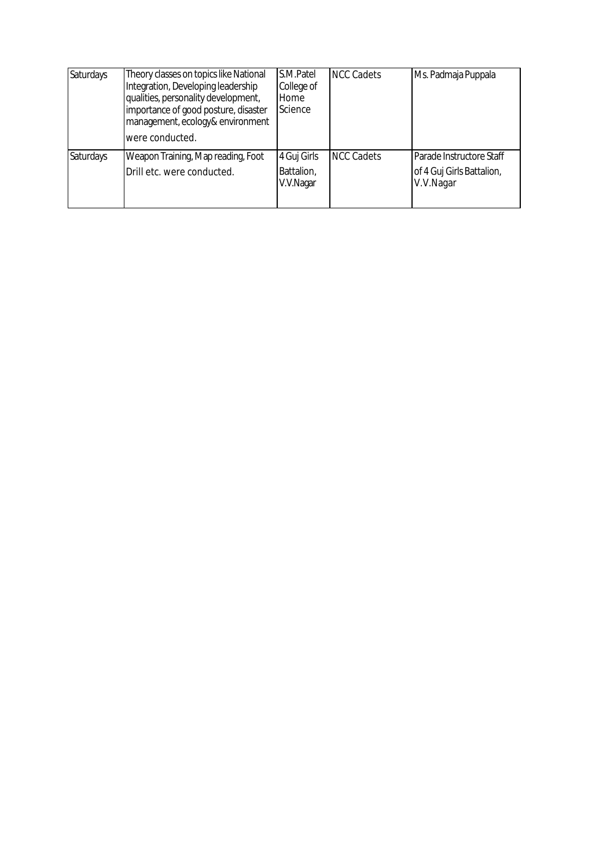| Saturdays        | Theory classes on topics like National<br>Integration, Developing leadership<br>qualities, personality development,<br>importance of good posture, disaster<br>management, ecology& environment<br>were conducted. | S.M.Patel<br>College of<br>Home<br>Science | <b>NCC Cadets</b> | Ms. Padmaja Puppala                                                |
|------------------|--------------------------------------------------------------------------------------------------------------------------------------------------------------------------------------------------------------------|--------------------------------------------|-------------------|--------------------------------------------------------------------|
| <b>Saturdays</b> | Weapon Training, Map reading, Foot<br>Drill etc. were conducted.                                                                                                                                                   | 4 Guj Girls<br>Battalion,<br>V.V.Nagar     | <b>NCC Cadets</b> | Parade Instructore Staff<br>of 4 Guj Girls Battalion,<br>V.V.Nagar |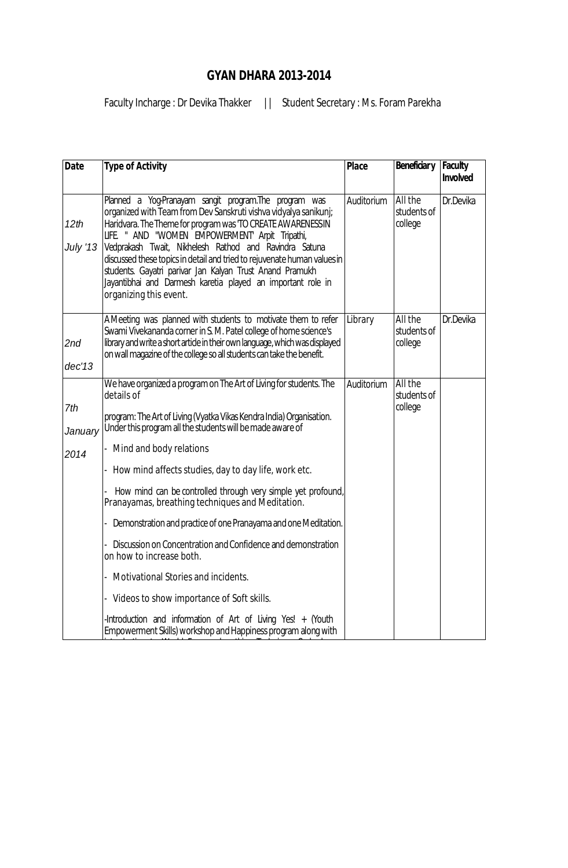# **GYAN DHARA 2013-2014**

Faculty Incharge : Dr Devika Thakker | | Student Secretary : Ms. Foram Parekha

| <b>Date</b>             | <b>Type of Activity</b>                                                                                                                                                                                                                                                                                                                                                                                                                                                                                                                                                                                                                                                                                                                                                                                                | <b>Place</b> | Beneficiar y                      | Faculty<br>Involved |
|-------------------------|------------------------------------------------------------------------------------------------------------------------------------------------------------------------------------------------------------------------------------------------------------------------------------------------------------------------------------------------------------------------------------------------------------------------------------------------------------------------------------------------------------------------------------------------------------------------------------------------------------------------------------------------------------------------------------------------------------------------------------------------------------------------------------------------------------------------|--------------|-----------------------------------|---------------------|
| 12th<br><b>July '13</b> | Planned a Yog-Pranayam sangit program. The program was<br>organized with Team from Dev Sanskruti vishva vidyalya sanikunj;<br>Haridvara. The Theme for program was TO CREATE AWARENESS IN<br>LIFE. " AND "WOMEN EMPOWERMENT Arpit Tripathi,<br>Vedprakash Twait, Nikhelesh Rathod and Ravindra Satuna<br>discussed these topics in detail and tried to rejuvenate human values in<br>students. Gayatri parivar Jan Kalyan Trust Anand Pramukh<br>Jayantibhai and Darmesh karetia played an important role in<br>organizing this event.                                                                                                                                                                                                                                                                                 | Auditorium   | All the<br>students of<br>college | Dr.Devika           |
| 2nd<br>dec'13           | A Meeting was planned with students to motivate them to refer<br>Swami Vivekananda corner in S. M. Patel college of home science's<br>library and write a short article in their own language, which was displayed<br>on wall magazine of the college so all students can take the benefit.                                                                                                                                                                                                                                                                                                                                                                                                                                                                                                                            | Library      | All the<br>students of<br>college | Dr.Devika           |
| 7th<br>January<br>2014  | We have organized a program on The Art of Living for students. The<br>details of<br>program: The Art of Living (Vyatka Vikas Kendra India) Organisation.<br>Under this program all the students will be made aware of<br>Mind and body relations<br>- How mind affects studies, day to day life, work etc.<br>How mind can be controlled through very simple yet profound,<br>Pranayamas, breathing techniques and Meditation.<br>Demonstration and practice of one Pranayama and one Meditation.<br>Discussion on Concentration and Confidence and demonstration<br>on how to increase both.<br>Motivational Stories and incidents.<br>- Videos to show importance of Soft skills.<br>-Introduction and information of Art of Living Yes! $+$ (Youth<br>Empowerment Skills) workshop and Happiness program along with | Auditorium   | All the<br>students of<br>college |                     |

introduction to World Famous breathing Technique Sudarshan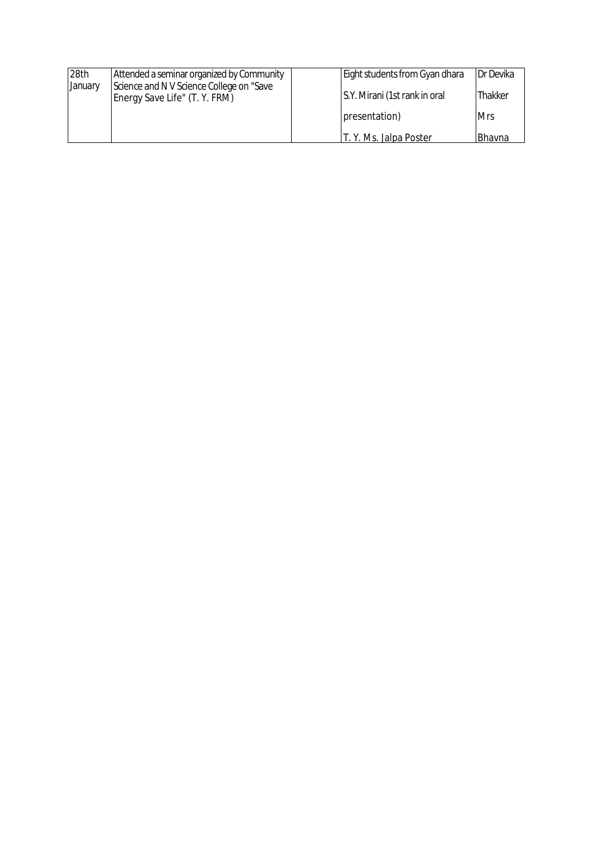| 28th    | Attended a seminar organized by Community                                  | Eight students from Gyan dhara | Dr Devika  |
|---------|----------------------------------------------------------------------------|--------------------------------|------------|
| January | Science and N V Science College on "Save"<br>Energy Save Life" (T. Y. FRM) | S.Y. Mirani (1st rank in oral  | Thakker    |
|         |                                                                            | presentation)                  | <b>Mrs</b> |
|         |                                                                            | T. Y. Ms. Jalpa Poster         | Bhavna     |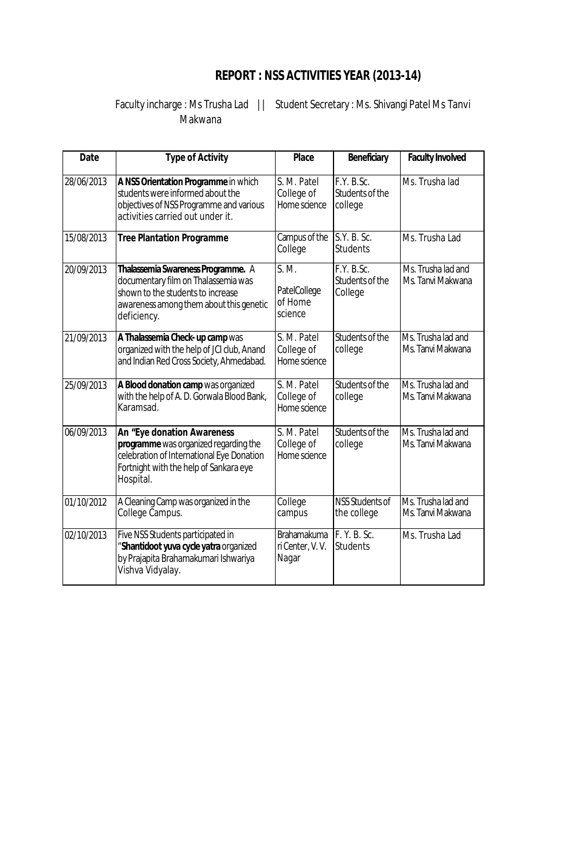# **REPORT : NSS ACTIVITIES YEAR (2013-14)**

Faculty incharge : Ms Trusha Lad || Student Secretary : Ms. Shivangi Patel Ms Tanvi Makwana

| <b>Date</b> | <b>Type of Activity</b>                                                                                                                                                        | <b>Place</b>                                   | Beneficiary                              | <b>Faculty Involved</b>                 |
|-------------|--------------------------------------------------------------------------------------------------------------------------------------------------------------------------------|------------------------------------------------|------------------------------------------|-----------------------------------------|
| 28/06/2013  | A NSS Orientation Programme in which<br>students were informed about the<br>objectives of NSS Programme and various<br>activities carried out under it.                        | S. M. Patel<br>College of<br>Home science      | F.Y. B.Sc.<br>Students of the<br>college | Ms. Trusha lad                          |
| 15/08/2013  | <b>Tree Plantation Programme</b>                                                                                                                                               | Campus of the<br>College                       | S.Y. B. Sc.<br><b>Students</b>           | Ms. Trusha Lad                          |
| 20/09/2013  | Thalassemia Swareness Programme. A<br>documentary film on Thalassemia was<br>shown to the students to increase<br>awareness among them about this genetic<br>deficiency.       | S. M.<br>PatelCollege<br>of Home<br>science    | F.Y. B.Sc.<br>Students of the<br>College | Ms. Trusha lad and<br>Ms. Tanvi Makwana |
| 21/09/2013  | A Thalassemia Check-up camp was<br>organized with the help of JCI club, Anand<br>and Indian Red Cross Society, Ahmedabad.                                                      | S. M. Patel<br>College of<br>Home science      | Students of the<br>college               | Ms. Trusha lad and<br>Ms. Tanvi Makwana |
| 25/09/2013  | A Blood donation camp was organized<br>with the help of A. D. Gorwala Blood Bank,<br>Karamsad.                                                                                 | S. M. Patel<br>College of<br>Home science      | Students of the<br>college               | Ms. Trusha lad and<br>Ms. Tanvi Makwana |
| 06/09/2013  | <b>An "Eye donation Awareness</b><br>programme was organized regarding the<br>celebration of International Eye Donation<br>Fortnight with the help of Sankara eye<br>Hospital. | S. M. Patel<br>College of<br>Home science      | Students of the<br>college               | Ms. Trusha lad and<br>Ms. Tanvi Makwana |
| 01/10/2012  | A Cleaning Camp was organized in the<br>College Campus.                                                                                                                        | College<br>campus                              | <b>NSS Students of</b><br>the college    | Ms. Trusha lad and<br>Ms. Tanvi Makwana |
| 02/10/2013  | Five NSS Students participated in<br>"Shantidoot yuva cycle yatra organized<br>by Prajapita Brahamakumari Ishwariya<br>Vishva Vidyalay.                                        | <b>Brahamakuma</b><br>ri Center, V.V.<br>Nagar | F. Y. B. Sc.<br><b>Students</b>          | Ms. Trusha Lad                          |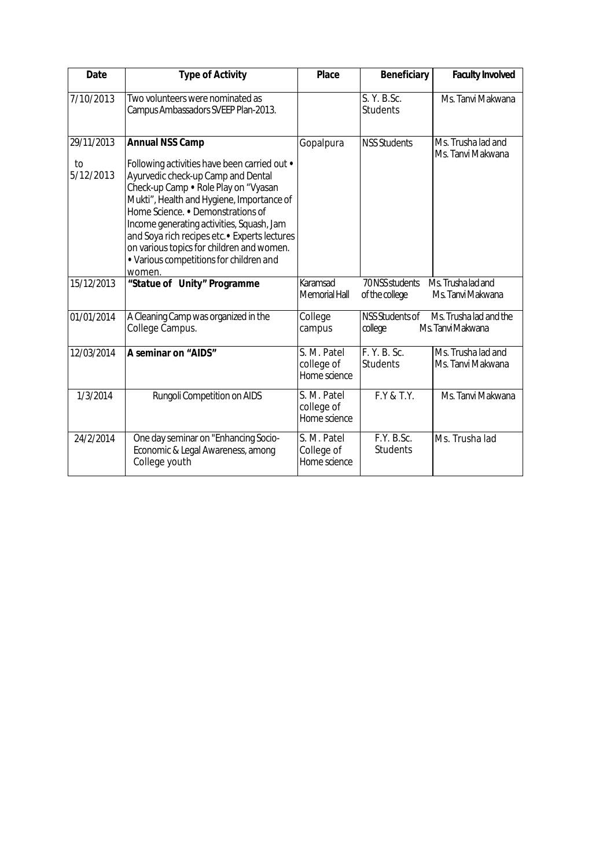| <b>Date</b>                   | <b>Type of Activity</b>                                                                                                                                                                                                                                                                                                                                                                                                                | <b>Place</b>                              | <b>Beneficiary</b>                | <b>Faculty Involved</b>                     |
|-------------------------------|----------------------------------------------------------------------------------------------------------------------------------------------------------------------------------------------------------------------------------------------------------------------------------------------------------------------------------------------------------------------------------------------------------------------------------------|-------------------------------------------|-----------------------------------|---------------------------------------------|
| 7/10/2013                     | Two volunteers were nominated as<br>Campus Ambassadors SVEEP Plan-2013.                                                                                                                                                                                                                                                                                                                                                                |                                           | S. Y. B.Sc.<br><b>Students</b>    | Ms. Tanvi Makwana                           |
| 29/11/2013<br>to<br>5/12/2013 | <b>Annual NSS Camp</b><br>Following activities have been carried out •<br>Ayurvedic check-up Camp and Dental<br>Check-up Camp . Role Play on "Vyasan<br>Mukti", Health and Hygiene, Importance of<br>Home Science. • Demonstrations of<br>Income generating activities, Squash, Jam<br>and Soya rich recipes etc. • Experts lectures<br>on various topics for children and women.<br>• Various competitions for children and<br>women. | Gopalpura                                 | <b>NSS Students</b>               | Ms. Trusha lad and<br>Ms. Tanvi Makwana     |
| 15/12/2013                    | "Statue of Unity" Programme                                                                                                                                                                                                                                                                                                                                                                                                            | Karamsad<br>Memorial Hall                 | 70 NSS students<br>of the college | Ms. Trusha lad and<br>Ms. Tanvi Makwana     |
| 01/01/2014                    | A Cleaning Camp was organized in the<br>College Campus.                                                                                                                                                                                                                                                                                                                                                                                | College<br>campus                         | NSS Students of<br>college        | Ms. Trusha lad and the<br>Ms. Tanvi Makwana |
| 12/03/2014                    | A seminar on "AIDS"                                                                                                                                                                                                                                                                                                                                                                                                                    | S. M. Patel<br>college of<br>Home science | F. Y. B. Sc.<br><b>Students</b>   | Ms. Trusha lad and<br>Ms. Tanvi Makwana     |
| 1/3/2014                      | Rungoli Competition on AIDS                                                                                                                                                                                                                                                                                                                                                                                                            | S. M. Patel<br>college of<br>Home science | F.Y & T.Y.                        | Ms. Tanvi Makwana                           |
| 24/2/2014                     | One day seminar on "Enhancing Socio-<br>Economic & Legal Awareness, among<br>College youth                                                                                                                                                                                                                                                                                                                                             | S. M. Patel<br>College of<br>Home science | F.Y. B.Sc.<br><b>Students</b>     | Ms. Trusha lad                              |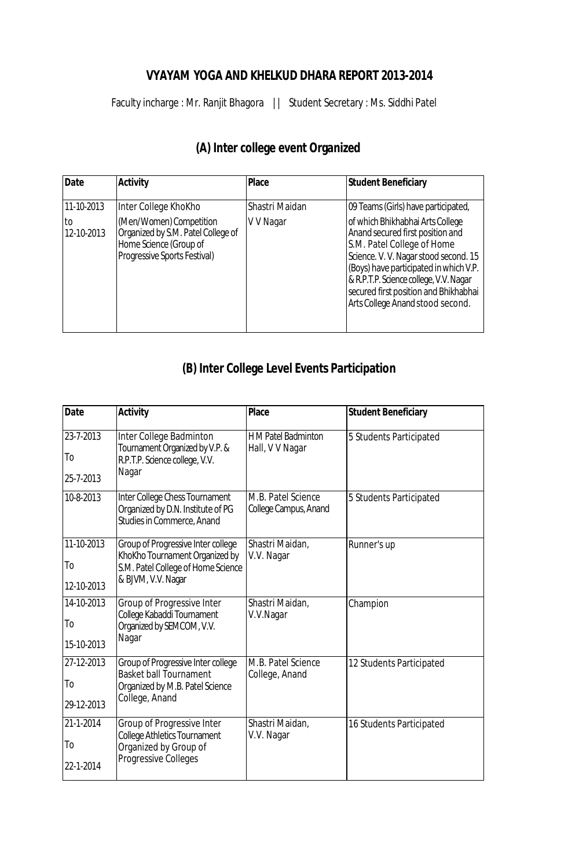## **VYAYAM YOGA AND KHELKUD DHARA REPORT 2013-2014**

Faculty incharge : Mr. Ranjit Bhagora || Student Secretary : Ms. Siddhi Patel

| Date              | <b>Activity</b>                                                                                                         | <b>Place</b>   | <b>Student Beneficiary</b>                                                                                                                                                                                                                                                                                   |
|-------------------|-------------------------------------------------------------------------------------------------------------------------|----------------|--------------------------------------------------------------------------------------------------------------------------------------------------------------------------------------------------------------------------------------------------------------------------------------------------------------|
| 11-10-2013        | Inter College KhoKho                                                                                                    | Shastri Maidan | 09 Teams (Girls) have participated,                                                                                                                                                                                                                                                                          |
| lto<br>12-10-2013 | (Men/Women) Competition<br>Organized by S.M. Patel College of<br>Home Science (Group of<br>Progressive Sports Festival) | V V Nagar      | of which Bhikhabhai Arts College<br>Anand secured first position and<br>S.M. Patel College of Home<br>Science. V. V. Nagar stood second. 15<br>(Boys) have participated in which V.P.<br>& R.P.T.P. Science college, V.V. Nagar<br>secured first position and Bhikhabhai<br>Arts College Anand stood second. |

# **(A) Inter college event Organized**

# **(B) Inter College Level Events Participation**

| <b>Date</b>    | <b>Activity</b>                                                                                   | <b>Place</b>                                  | <b>Student Beneficiary</b> |
|----------------|---------------------------------------------------------------------------------------------------|-----------------------------------------------|----------------------------|
| 23-7-2013      | Inter College Badminton<br>Tournament Organized by V.P. &                                         | <b>H</b> M Patel Badminton<br>Hall, V V Nagar | 5 Students Participated    |
| To             | R.P.T.P. Science college, V.V.                                                                    |                                               |                            |
| 25-7-2013      | Nagar                                                                                             |                                               |                            |
| 10-8-2013      | Inter College Chess Tournament<br>Organized by D.N. Institute of PG<br>Studies in Commerce, Anand | M.B. Patel Science<br>College Campus, Anand   | 5 Students Participated    |
| 11-10-2013     | Group of Progressive Inter college<br>KhoKho Tournament Organized by                              | Shastri Maidan,<br>V.V. Nagar                 | Runner's up                |
| To             | S.M. Patel College of Home Science                                                                |                                               |                            |
| 12-10-2013     | & BJVM, V.V. Nagar                                                                                |                                               |                            |
| 14-10-2013     | Group of Progressive Inter<br>College Kabaddi Tournament                                          | Shastri Maidan,<br>V.V.Nagar                  | Champion                   |
| T <sub>o</sub> | Organized by SEMCOM, V.V.                                                                         |                                               |                            |
| 15-10-2013     | Nagar                                                                                             |                                               |                            |
| 27-12-2013     | Group of Progressive Inter college<br><b>Basket ball Tournament</b>                               | M.B. Patel Science                            | 12 Students Participated   |
| To             | Organized by M.B. Patel Science                                                                   | College, Anand                                |                            |
| 29-12-2013     | College, Anand                                                                                    |                                               |                            |
| 21-1-2014      | Group of Progressive Inter<br><b>College Athletics Tournament</b>                                 | Shastri Maidan,<br>V.V. Nagar                 | 16 Students Participated   |
| To             | Organized by Group of                                                                             |                                               |                            |
| 22-1-2014      | <b>Progressive Colleges</b>                                                                       |                                               |                            |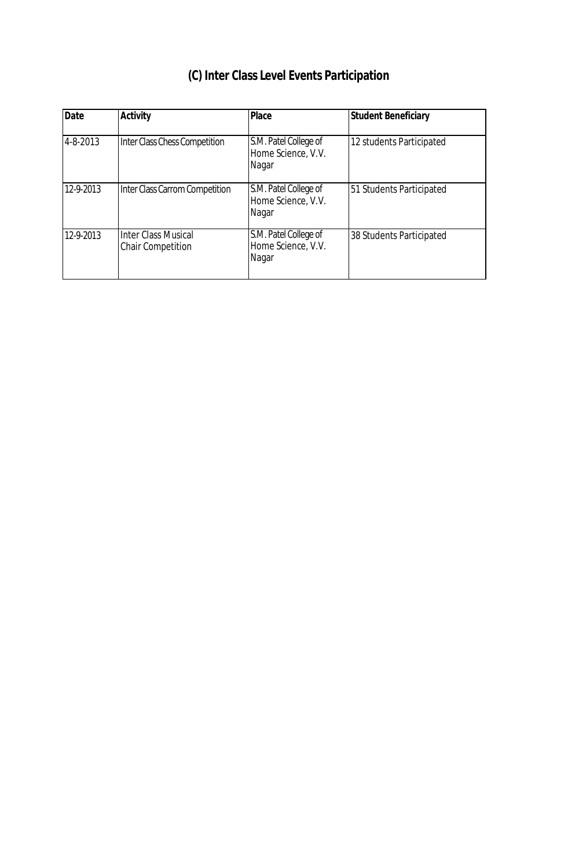| <b>Date</b> | <b>Activity</b>                                        | <b>Place</b>                                         | <b>Student Beneficiary</b> |
|-------------|--------------------------------------------------------|------------------------------------------------------|----------------------------|
| 4-8-2013    | Inter Class Chess Competition                          | S.M. Patel College of<br>Home Science, V.V.<br>Nagar | 12 students Participated   |
| 12-9-2013   | Inter Class Carrom Competition                         | S.M. Patel College of<br>Home Science, V.V.<br>Nagar | 51 Students Participated   |
| 12-9-2013   | <b>Inter Class Musical</b><br><b>Chair Competition</b> | S.M. Patel College of<br>Home Science, V.V.<br>Nagar | 38 Students Participated   |

# **(C) Inter Class Level Events Participation**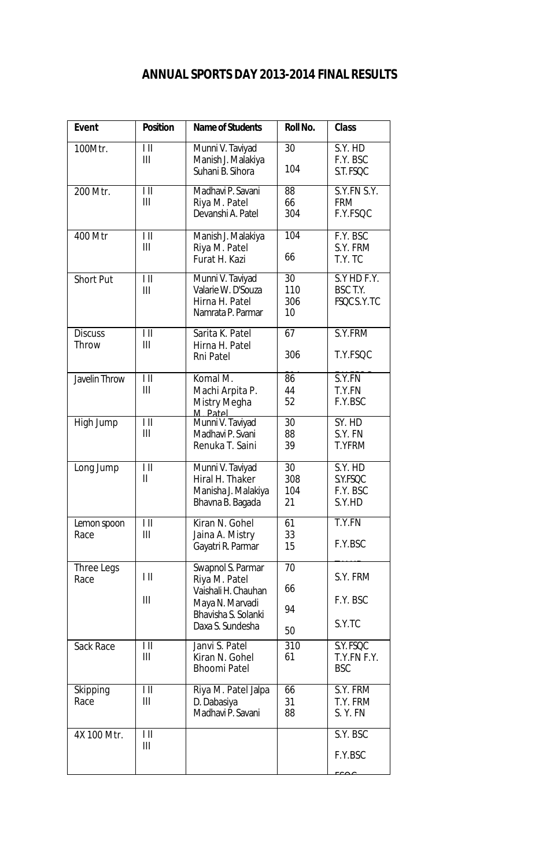## **ANNUAL SPORTS DAY 2013-2014 FINAL RESULTS**

| <b>Event</b>            | <b>Position</b>               | <b>Name of Students</b>                                                                                                 | <b>Roll No.</b>        | <b>Class</b>                              |
|-------------------------|-------------------------------|-------------------------------------------------------------------------------------------------------------------------|------------------------|-------------------------------------------|
| 100Mtr.                 | $\mathsf{I}$<br>III           | Munni V. Taviyad<br>Manish J. Malakiya<br>Suhani B. Sihora                                                              | 30<br>104              | S.Y. HD<br>F.Y. BSC<br>S.T. FSQC          |
| 200 Mtr.                | $\mathsf{I}$<br>III           | Madhavi P. Savani<br>Riya M. Patel<br>Devanshi A. Patel                                                                 | 88<br>66<br>304        | S.Y.FN S.Y.<br><b>FRM</b><br>F.Y.FSQC     |
| 400 Mtr                 | $\mathsf{I}$<br>Ш             | Manish J. Malakiya<br>Riya M. Patel<br>Furat H. Kazi                                                                    | 104<br>66              | F.Y. BSC<br>S.Y. FRM<br>T.Y.TC            |
| <b>Short Put</b>        | $\mathsf{I}$<br>Ш             | Munni V. Taviyad<br>Valarie W. D'Souza<br>Hirna H. Patel<br>Namrata P. Parmar                                           | 30<br>110<br>306<br>10 | S.Y HD F.Y.<br>BSC T.Y.<br>FSQC S.Y.TC    |
| <b>Discuss</b><br>Throw | $\mathsf{I}$<br>III           | Sarita K. Patel<br>Hirna H. Patel<br>Rni Patel                                                                          | 67<br>306              | S.Y.FRM<br>T.Y.FSQC                       |
| <b>Javelin Throw</b>    | $\mathsf{I}$<br>III           | Komal M.<br>Machi Arpita P.<br>Mistry Megha<br>M Patel                                                                  | 86<br>44<br>52         | S.Y.FN<br>T.Y.FN<br>F.Y.BSC               |
| High Jump               | $\mathsf{I}$<br>III           | Munni V. Taviyad<br>Madhavi P. Svani<br>Renuka T. Saini                                                                 | 30<br>88<br>39         | SY. HD<br>S.Y. FN<br><b>T.YFRM</b>        |
| Long Jump               | $\mathsf{I}$<br>$\mathbf{II}$ | Munni V. Taviyad<br>Hiral H. Thaker<br>Manisha J. Malakiya<br>Bhavna B. Bagada                                          | 30<br>308<br>104<br>21 | S.Y. HD<br>S.Y.FSQC<br>F.Y. BSC<br>S.Y.HD |
| Lemon spoon<br>Race     | $\mathsf{I}$<br>Ш             | Kiran N. Gohel<br>Jaina A. Mistry<br>Gayatri R. Parmar                                                                  | 61<br>33<br>15         | T.Y.FN<br>F.Y.BSC                         |
| Three Legs<br>Race      | $\parallel$ $\parallel$<br>Ш  | Swapnol S. Parmar<br>Riya M. Patel<br>Vaishali H. Chauhan<br>Maya N. Marvadi<br>Bhavisha S. Solanki<br>Daxa S. Sundesha | 70<br>66<br>94<br>50   | S.Y. FRM<br>F.Y. BSC<br>S.Y.TC            |
| Sack Race               | Ш<br>III                      | Janvi S. Patel<br>Kiran N. Gohel<br><b>Bhoomi Patel</b>                                                                 | 310<br>61              | S.Y. FSQC<br>T.Y.FN F.Y.<br><b>BSC</b>    |
| Skipping<br>Race        | $\parallel$ $\parallel$<br>Ш  | Riya M. Patel Jalpa<br>D. Dabasiya<br>Madhavi P. Savani                                                                 | 66<br>31<br>88         | S.Y. FRM<br>T.Y. FRM<br>S.Y.FN            |
| 4X 100 Mtr.             | $\parallel$ $\parallel$<br>Ш  |                                                                                                                         |                        | S.Y. BSC<br>F.Y.BSC                       |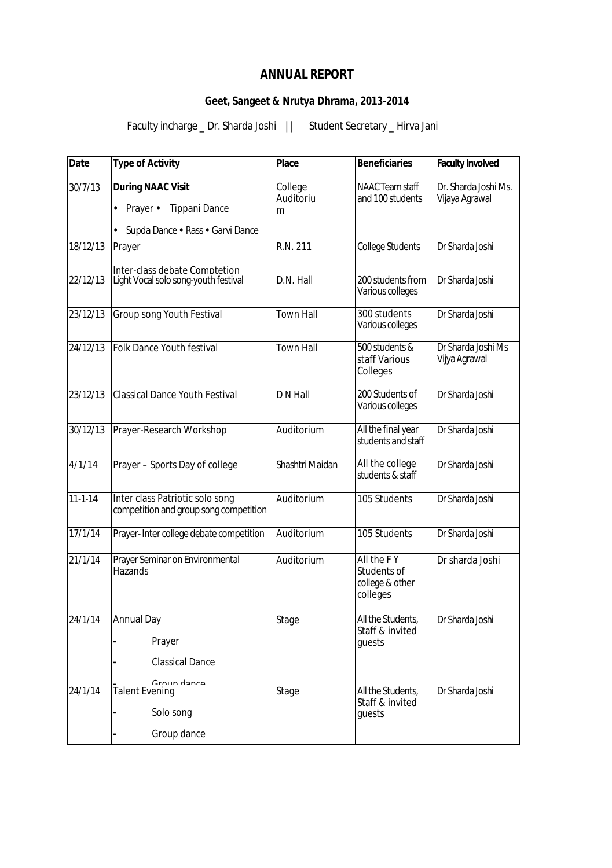## **ANNUAL REPORT**

## **Geet, Sangeet & Nrutya Dhrama, 2013-2014**

Faculty incharge \_ Dr. Sharda Joshi || Student Secretary \_ Hirva Jani

| <b>Date</b>   | <b>Type of Activity</b>                                                                                       | <b>Place</b>              | <b>Beneficiaries</b>                                     | <b>Faculty Involved</b>                |
|---------------|---------------------------------------------------------------------------------------------------------------|---------------------------|----------------------------------------------------------|----------------------------------------|
| 30/7/13       | <b>During NAAC Visit</b><br><b>Tippani Dance</b><br>Prayer •<br>$\bullet$<br>Supda Dance • Rass • Garvi Dance | College<br>Auditoriu<br>m | <b>NAAC Team staff</b><br>and 100 students               | Dr. Sharda Joshi Ms.<br>Vijaya Agrawal |
| 18/12/13      | Prayer                                                                                                        | R.N. 211                  | <b>College Students</b>                                  | Dr Sharda Joshi                        |
| 22/12/13      | Inter-class debate Comptetion<br>Light Vocal solo song-youth festival                                         | D.N. Hall                 | 200 students from<br>Various colleges                    | Dr Sharda Joshi                        |
| 23/12/13      | Group song Youth Festival                                                                                     | <b>Town Hall</b>          | 300 students<br>Various colleges                         | Dr Sharda Joshi                        |
| 24/12/13      | <b>Folk Dance Youth festival</b>                                                                              | <b>Town Hall</b>          | 500 students &<br>staff Various<br>Colleges              | Dr Sharda Joshi Ms<br>Vijya Agrawal    |
| 23/12/13      | <b>Classical Dance Youth Festival</b>                                                                         | D N Hall                  | 200 Students of<br>Various colleges                      | Dr Sharda Joshi                        |
| 30/12/13      | Prayer-Research Workshop                                                                                      | Auditorium                | All the final year<br>students and staff                 | Dr Sharda Joshi                        |
| 4/1/14        | Prayer - Sports Day of college                                                                                | Shashtri Maidan           | All the college<br>students & staff                      | Dr Sharda Joshi                        |
| $11 - 1 - 14$ | Inter class Patriotic solo song<br>competition and group song competition                                     | Auditorium                | 105 Students                                             | Dr Sharda Joshi                        |
| 17/1/14       | Prayer-Inter college debate competition                                                                       | Auditorium                | 105 Students                                             | Dr Sharda Joshi                        |
| 21/1/14       | Prayer Seminar on Environmental<br>Hazands                                                                    | Auditorium                | All the FY<br>Students of<br>college & other<br>colleges | Dr sharda Joshi                        |
| 24/1/14       | <b>Annual Day</b>                                                                                             | Stage                     | All the Students,<br>Staff & invited                     | Dr Sharda Joshi                        |
|               | Prayer                                                                                                        |                           | quests                                                   |                                        |
|               | <b>Classical Dance</b>                                                                                        |                           |                                                          |                                        |
| 24/1/14       | Croup dance<br><b>Talent Evening</b>                                                                          | Stage                     | All the Students,                                        | Dr Sharda Joshi                        |
|               | Solo song                                                                                                     |                           | Staff & invited<br>guests                                |                                        |
|               | Group dance                                                                                                   |                           |                                                          |                                        |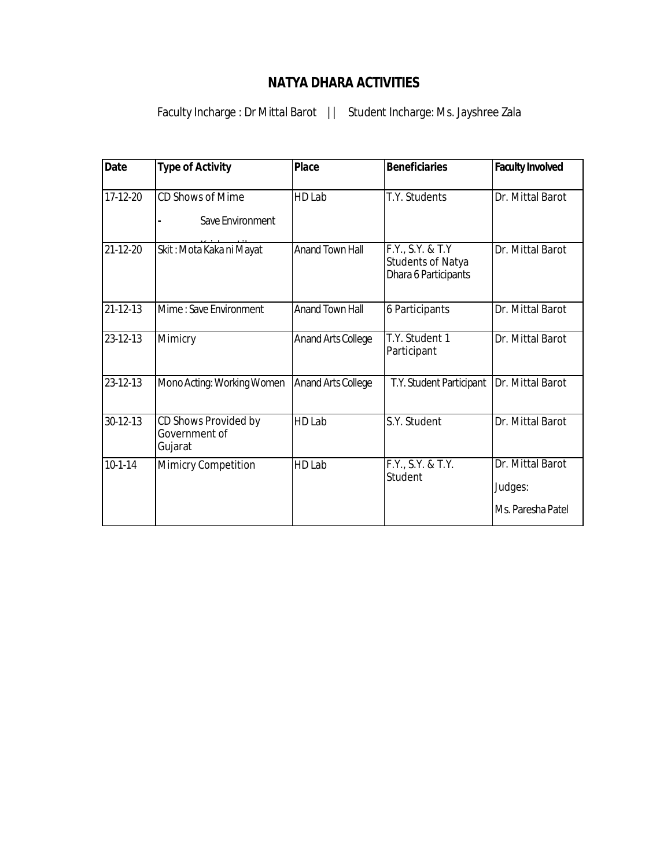## **NATYA DHARA ACTIVITIES**

Faculty Incharge : Dr Mittal Barot | | Student Incharge: Ms. Jayshree Zala

| <b>Date</b>    | <b>Type of Activity</b>                          | <b>Place</b>              | <b>Beneficiaries</b>                                                 | <b>Faculty Involved</b>                          |
|----------------|--------------------------------------------------|---------------------------|----------------------------------------------------------------------|--------------------------------------------------|
| 17-12-20       | CD Shows of Mime<br>Save Environment             | HD Lab                    | T.Y. Students                                                        | Dr. Mittal Barot                                 |
| $21 - 12 - 20$ | Skit: Mota Kaka ni Mayat                         | <b>Anand Town Hall</b>    | F.Y., S.Y. & T.Y<br><b>Students of Natya</b><br>Dhara 6 Participants | Dr. Mittal Barot                                 |
| $21 - 12 - 13$ | Mime: Save Environment                           | <b>Anand Town Hall</b>    | 6 Participants                                                       | Dr. Mittal Barot                                 |
| $23 - 12 - 13$ | Mimicry                                          | <b>Anand Arts College</b> | T.Y. Student 1<br>Participant                                        | Dr. Mittal Barot                                 |
| 23-12-13       | Mono Acting: Working Women                       | <b>Anand Arts College</b> | T.Y. Student Participant                                             | Dr. Mittal Barot                                 |
| 30-12-13       | CD Shows Provided by<br>Government of<br>Gujarat | HD Lab                    | S.Y. Student                                                         | Dr. Mittal Barot                                 |
| $10-1-14$      | Mimicry Competition                              | HD Lab                    | F.Y., S.Y. & T.Y.<br>Student                                         | Dr. Mittal Barot<br>Judges:<br>Ms. Paresha Patel |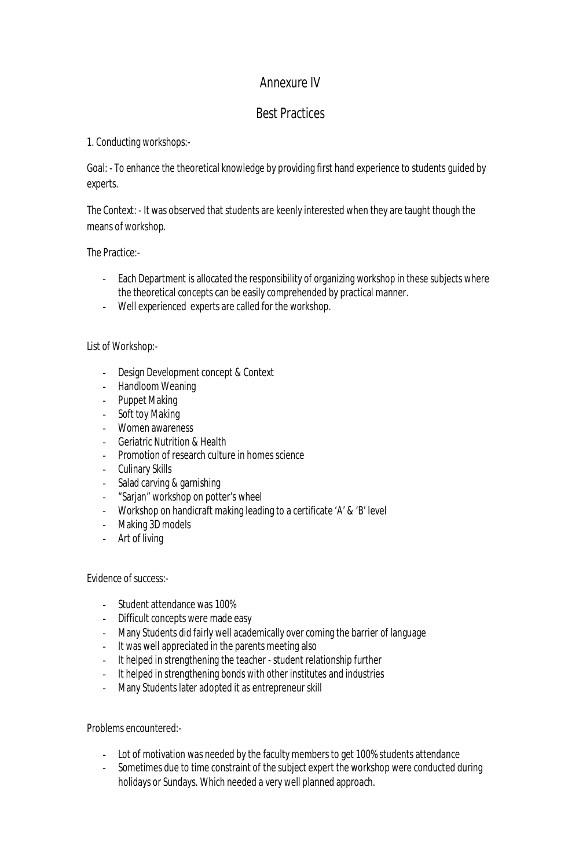## Annexure IV

## Best Practices

## 1. Conducting workshops:-

Goal: - To enhance the theoretical knowledge by providing first hand experience to students guided by experts.

The Context: - It was observed that students are keenly interested when they are taught though the means of workshop.

The Practice:-

- Each Department is allocated the responsibility of organizing workshop in these subjects where the theoretical concepts can be easily comprehended by practical manner.
- Well experienced experts are called for the workshop.

### List of Workshop:-

- Design Development concept & Context
- Handloom Weaning
- Puppet Making
- Soft toy Making
- Women awareness
- Geriatric Nutrition & Health
- Promotion of research culture in homes science
- Culinary Skills
- Salad carving & garnishing
- "Sarjan" workshop on potter's wheel
- Workshop on handicraft making leading to a certificate 'A' & 'B' level
- Making 3D models
- Art of living

### Evidence of success:-

- Student attendance was 100%
- Difficult concepts were made easy
- Many Students did fairly well academically over coming the barrier of language
- It was well appreciated in the parents meeting also
- It helped in strengthening the teacher student relationship further
- It helped in strengthening bonds with other institutes and industries
- Many Students later adopted it as entrepreneur skill

Problems encountered:-

- Lot of motivation was needed by the faculty members to get 100% students attendance
- Sometimes due to time constraint of the subject expert the workshop were conducted during holidays or Sundays. Which needed a very well planned approach.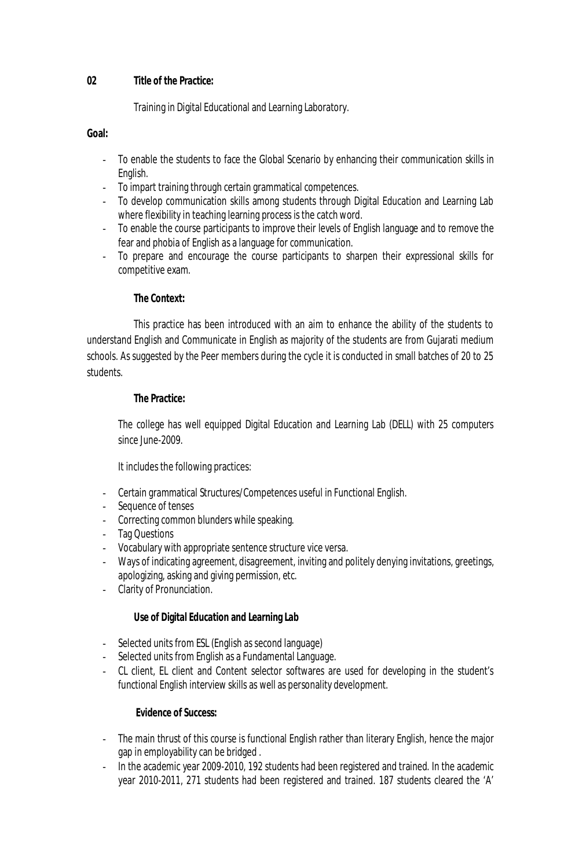### **02 Title of the Practice:**

Training in Digital Educational and Learning Laboratory.

### **Goal:**

- To enable the students to face the Global Scenario by enhancing their communication skills in English.
- To impart training through certain grammatical competences.
- To develop communication skills among students through Digital Education and Learning Lab where flexibility in teaching learning process is the catch word.
- To enable the course participants to improve their levels of English language and to remove the fear and phobia of English as a language for communication.
- To prepare and encourage the course participants to sharpen their expressional skills for competitive exam.

## **The Context:**

This practice has been introduced with an aim to enhance the ability of the students to understand English and Communicate in English as majority of the students are from Gujarati medium schools. As suggested by the Peer members during the cycle it is conducted in small batches of 20 to 25 students.

### **The Practice:**

The college has well equipped Digital Education and Learning Lab (DELL) with 25 computers since June-2009.

It includes the following practices:

- Certain grammatical Structures/Competences useful in Functional English.
- Sequence of tenses
- Correcting common blunders while speaking.
- Tag Questions
- Vocabulary with appropriate sentence structure vice versa.
- Ways of indicating agreement, disagreement, inviting and politely denying invitations, greetings, apologizing, asking and giving permission, etc.
- Clarity of Pronunciation.

### **Use of Digital Education and Learning Lab**

- Selected units from ESL (English as second language)
- Selected units from English as a Fundamental Language.
- CL client, EL client and Content selector softwares are used for developing in the student's functional English interview skills as well as personality development.

### **Evidence of Success:**

- The main thrust of this course is functional English rather than literary English, hence the major gap in employability can be bridged .
- In the academic year 2009-2010, 192 students had been registered and trained. In the academic year 2010-2011, 271 students had been registered and trained. 187 students cleared the 'A'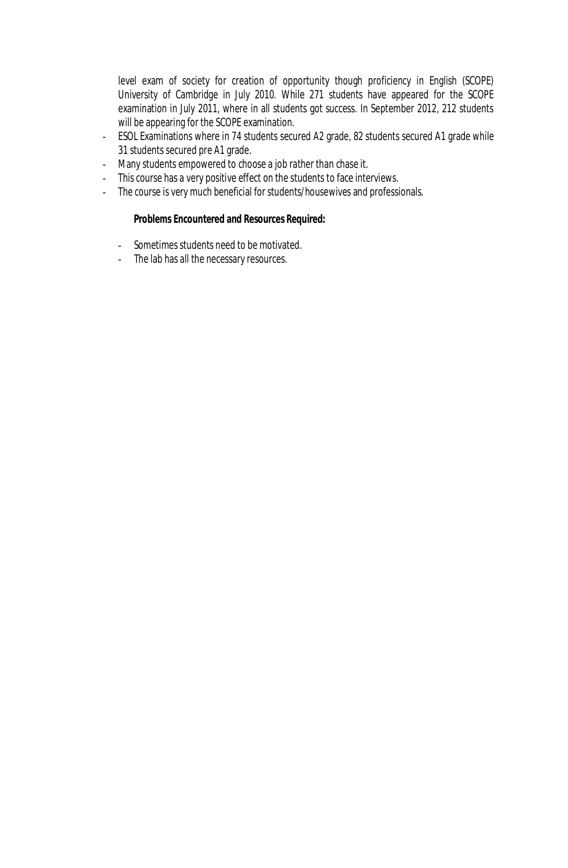level exam of society for creation of opportunity though proficiency in English (SCOPE) University of Cambridge in July 2010. While 271 students have appeared for the SCOPE examination in July 2011, where in all students got success. In September 2012, 212 students will be appearing for the SCOPE examination.

- ESOL Examinations where in 74 students secured A2 grade, 82 students secured A1 grade while 31 students secured pre A1 grade.
- Many students empowered to choose a job rather than chase it.
- This course has a very positive effect on the students to face interviews.
- The course is very much beneficial for students/housewives and professionals.

### **Problems Encountered and Resources Required:**

- Sometimes students need to be motivated.
- The lab has all the necessary resources.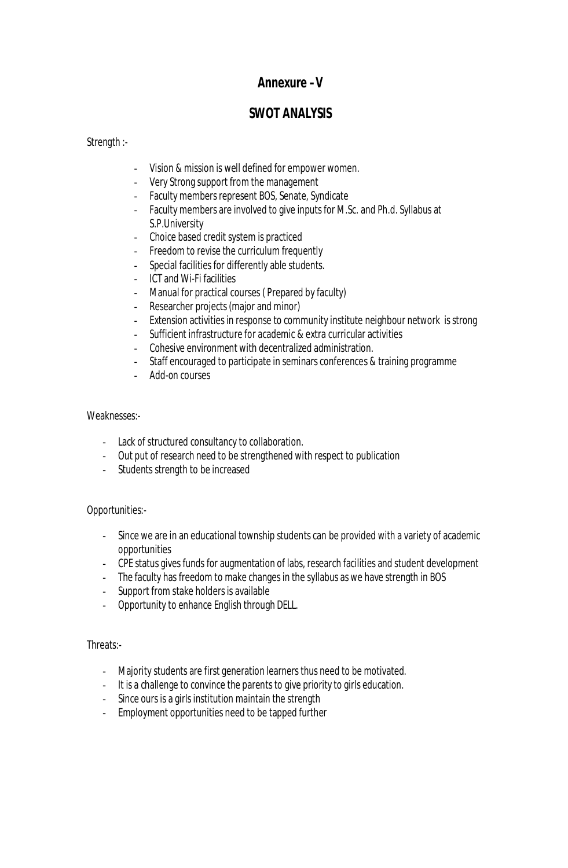## **Annexure –V**

## **SWOT ANALYSIS**

Strength :-

- Vision & mission is well defined for empower women.
- Very Strong support from the management
- Faculty members represent BOS, Senate, Syndicate
- Faculty members are involved to give inputs for M.Sc. and Ph.d. Syllabus at S.P.University
- Choice based credit system is practiced
- Freedom to revise the curriculum frequently
- Special facilities for differently able students.
- ICT and Wi-Fi facilities
- Manual for practical courses ( Prepared by faculty)
- Researcher projects (major and minor)
- Extension activities in response to community institute neighbour network is strong
- Sufficient infrastructure for academic & extra curricular activities
- Cohesive environment with decentralized administration.
- Staff encouraged to participate in seminars conferences & training programme
- Add-on courses

### Weaknesses:-

- Lack of structured consultancy to collaboration.
- Out put of research need to be strengthened with respect to publication
- Students strength to be increased

### Opportunities:-

- Since we are in an educational township students can be provided with a variety of academic opportunities
- CPE status gives funds for augmentation of labs, research facilities and student development
- The faculty has freedom to make changes in the syllabus as we have strength in BOS
- Support from stake holders is available
- Opportunity to enhance English through DELL.

### Threats:-

- Majority students are first generation learners thus need to be motivated.
- It is a challenge to convince the parents to give priority to girls education.
- Since ours is a girls institution maintain the strength
- Employment opportunities need to be tapped further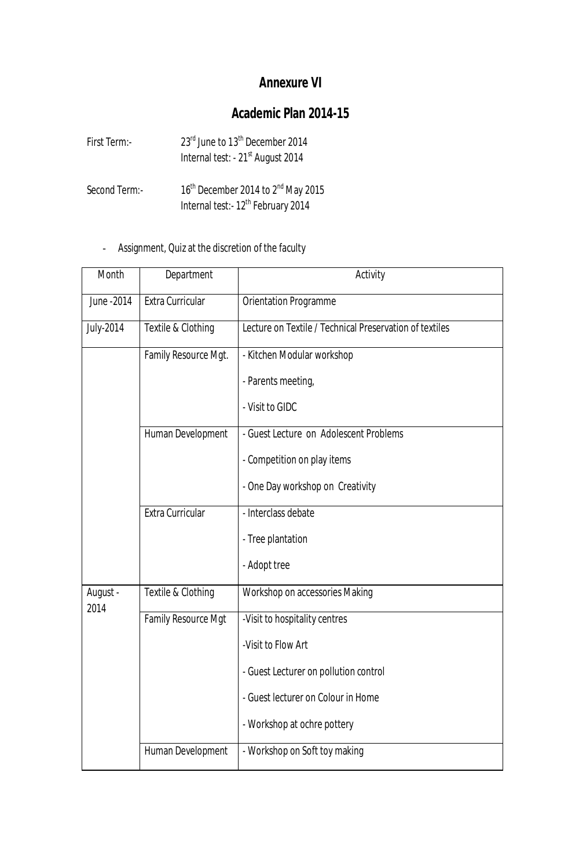# **Annexure VI**

# **Academic Plan 2014-15**

| First Term:-  | 23 <sup>rd</sup> June to 13 <sup>th</sup> December 2014<br>Internal test: - 21 <sup>st</sup> August 2014     |
|---------------|--------------------------------------------------------------------------------------------------------------|
| Second Term:- | 16 <sup>th</sup> December 2014 to 2 <sup>nd</sup> May 2015<br>Internal test:- 12 <sup>th</sup> February 2014 |

- Assignment, Quiz at the discretion of the faculty

| Month            | Department           | Activity                                                |
|------------------|----------------------|---------------------------------------------------------|
| June - 2014      | Extra Curricular     | Orientation Programme                                   |
| <b>July-2014</b> | Textile & Clothing   | Lecture on Textile / Technical Preservation of textiles |
|                  | Family Resource Mgt. | - Kitchen Modular workshop                              |
|                  |                      | - Parents meeting,                                      |
|                  |                      | - Visit to GIDC                                         |
|                  | Human Development    | - Guest Lecture on Adolescent Problems                  |
|                  |                      | - Competition on play items                             |
|                  |                      | - One Day workshop on Creativity                        |
|                  | Extra Curricular     | - Interclass debate                                     |
|                  |                      | - Tree plantation                                       |
|                  |                      | - Adopt tree                                            |
| August -<br>2014 | Textile & Clothing   | Workshop on accessories Making                          |
|                  | Family Resource Mgt  | -Visit to hospitality centres                           |
|                  |                      | -Visit to Flow Art                                      |
|                  |                      | - Guest Lecturer on pollution control                   |
|                  |                      | - Guest lecturer on Colour in Home                      |
|                  |                      | - Workshop at ochre pottery                             |
|                  | Human Development    | - Workshop on Soft toy making                           |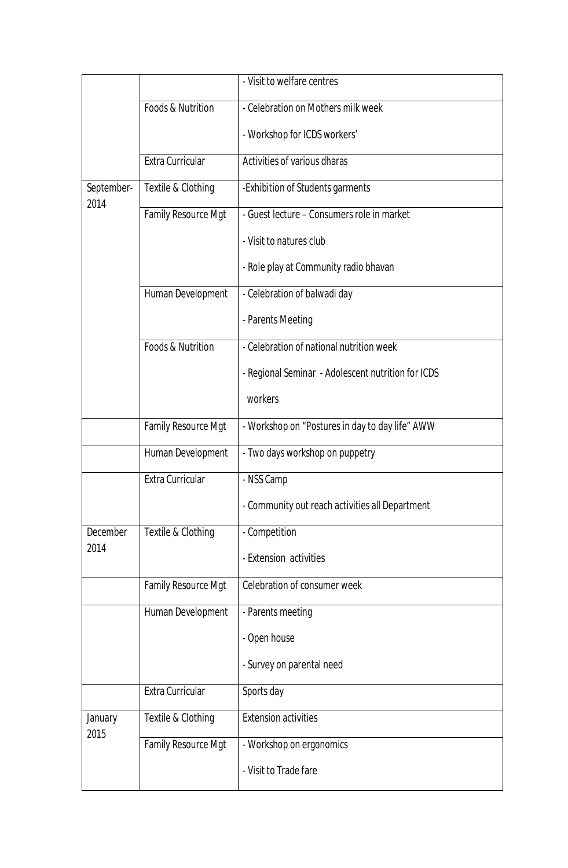|                    |                            | - Visit to welfare centres                         |
|--------------------|----------------------------|----------------------------------------------------|
|                    | Foods & Nutrition          | - Celebration on Mothers milk week                 |
|                    |                            | - Workshop for ICDS workers'                       |
|                    | Extra Curricular           | Activities of various dharas                       |
| September-<br>2014 | Textile & Clothing         | -Exhibition of Students garments                   |
|                    | <b>Family Resource Mgt</b> | - Guest lecture - Consumers role in market         |
|                    |                            | - Visit to natures club                            |
|                    |                            | - Role play at Community radio bhavan              |
|                    | Human Development          | - Celebration of balwadi day                       |
|                    |                            | - Parents Meeting                                  |
|                    | Foods & Nutrition          | - Celebration of national nutrition week           |
|                    |                            | - Regional Seminar - Adolescent nutrition for ICDS |
|                    |                            | workers                                            |
|                    | Family Resource Mgt        | - Workshop on "Postures in day to day life" AWW    |
|                    | Human Development          | - Two days workshop on puppetry                    |
|                    | Extra Curricular           | - NSS Camp                                         |
|                    |                            | - Community out reach activities all Department    |
| December           | Textile & Clothing         | - Competition                                      |
| 2014               |                            | - Extension activities                             |
|                    | Family Resource Mgt        | Celebration of consumer week                       |
|                    | Human Development          | - Parents meeting                                  |
|                    |                            | - Open house                                       |
|                    |                            | - Survey on parental need                          |
|                    | Extra Curricular           | Sports day                                         |
| January<br>2015    | Textile & Clothing         | <b>Extension activities</b>                        |
|                    | <b>Family Resource Mgt</b> | - Workshop on ergonomics                           |
|                    |                            | - Visit to Trade fare                              |